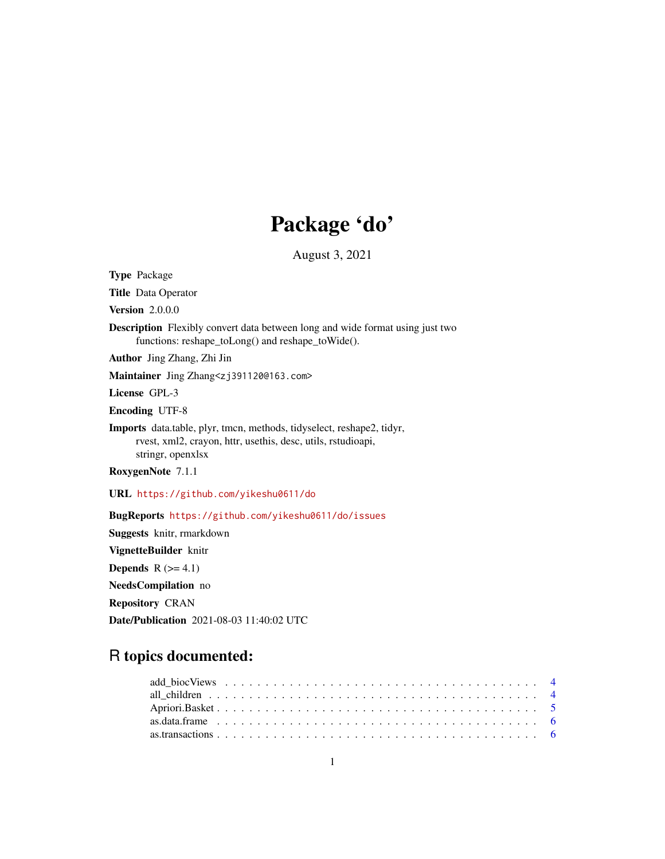# Package 'do'

August 3, 2021

Type Package Title Data Operator Version 2.0.0.0 Description Flexibly convert data between long and wide format using just two functions: reshape\_toLong() and reshape\_toWide(). Author Jing Zhang, Zhi Jin Maintainer Jing Zhang<zj391120@163.com> License GPL-3 Encoding UTF-8 Imports data.table, plyr, tmcn, methods, tidyselect, reshape2, tidyr, rvest, xml2, crayon, httr, usethis, desc, utils, rstudioapi, stringr, openxlsx RoxygenNote 7.1.1 URL <https://github.com/yikeshu0611/do> BugReports <https://github.com/yikeshu0611/do/issues> Suggests knitr, rmarkdown VignetteBuilder knitr Depends  $R$  ( $>= 4.1$ ) NeedsCompilation no

Repository CRAN

Date/Publication 2021-08-03 11:40:02 UTC

## R topics documented: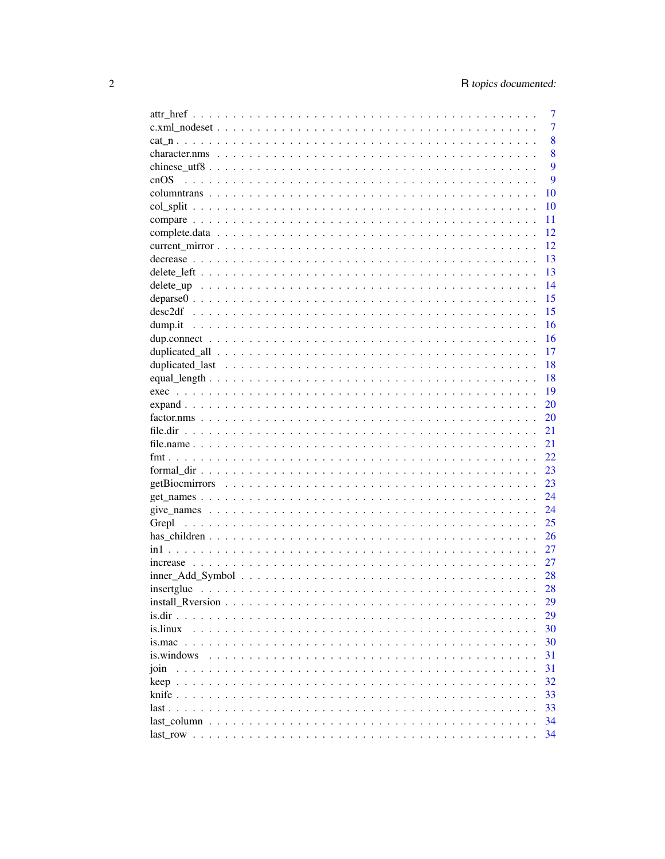|                                    | 7   |
|------------------------------------|-----|
|                                    | 7   |
|                                    | 8   |
|                                    | 8   |
|                                    | 9   |
| cnOS                               | 9   |
|                                    | 10  |
|                                    | 10  |
|                                    | 11  |
|                                    | 12  |
|                                    | 12  |
|                                    | 13  |
|                                    | 13  |
|                                    | 14  |
|                                    | 15  |
|                                    | 15  |
|                                    | 16  |
|                                    | 16  |
|                                    | 17  |
|                                    | 18  |
|                                    | 18  |
|                                    | 19  |
|                                    | 20  |
|                                    | 20  |
|                                    | 21  |
|                                    | 21  |
|                                    | 22. |
|                                    | 23  |
|                                    | 23  |
|                                    | 24  |
|                                    | 24  |
|                                    | 25  |
|                                    | 26  |
|                                    | 27  |
|                                    | 27  |
|                                    | 28  |
|                                    | 28  |
|                                    | 29  |
| is.dir.<br>$\cdot$ $\cdot$ $\cdot$ | 29  |
| is.linux                           | 30  |
|                                    | 30  |
| is windows                         | 31  |
| join                               | 31  |
|                                    | 32  |
|                                    | 33  |
|                                    | 33  |
|                                    | 34  |
|                                    | 34  |
|                                    |     |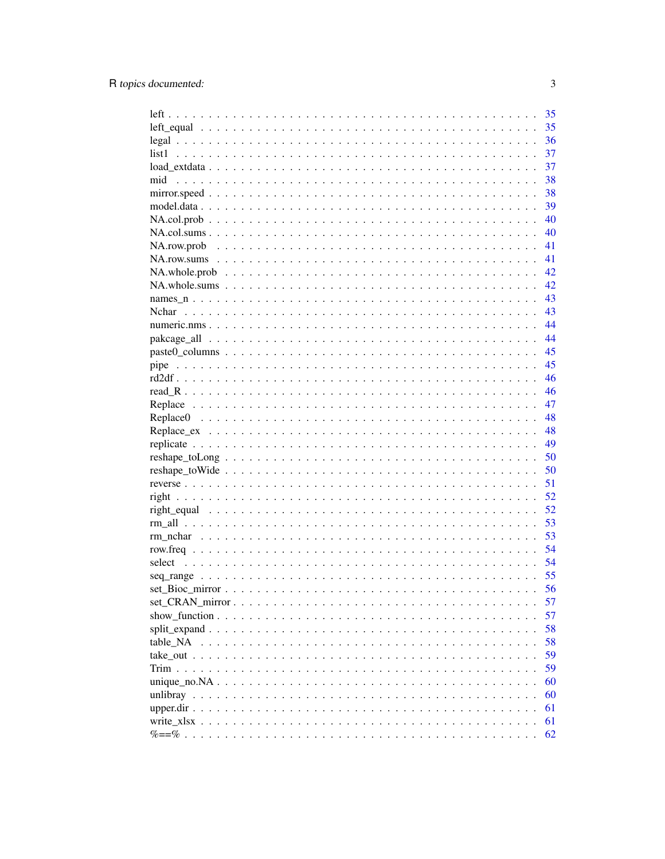|                                                                                                                   | 35 |
|-------------------------------------------------------------------------------------------------------------------|----|
|                                                                                                                   | 35 |
|                                                                                                                   | 36 |
| list1                                                                                                             | 37 |
|                                                                                                                   | 37 |
| mid                                                                                                               | 38 |
|                                                                                                                   | 38 |
|                                                                                                                   | 39 |
|                                                                                                                   | 40 |
|                                                                                                                   | 40 |
|                                                                                                                   | 41 |
|                                                                                                                   | 41 |
| $NA. whole. prob \dots \dots \dots \dots \dots \dots \dots \dots \dots \dots \dots \dots \dots \dots \dots$       | 42 |
| $NA. whole. sums \dots \dots \dots \dots \dots \dots \dots \dots \dots \dots \dots \dots \dots \dots \dots \dots$ | 42 |
|                                                                                                                   | 43 |
|                                                                                                                   | 43 |
|                                                                                                                   | 44 |
|                                                                                                                   | 44 |
|                                                                                                                   | 45 |
|                                                                                                                   | 45 |
|                                                                                                                   | 46 |
|                                                                                                                   | 46 |
|                                                                                                                   |    |
|                                                                                                                   | 47 |
|                                                                                                                   | 48 |
|                                                                                                                   | 48 |
|                                                                                                                   | 49 |
| $reshape\_toLong \ldots \ldots \ldots \ldots \ldots \ldots \ldots \ldots \ldots \ldots \ldots \ldots \ldots$      | 50 |
|                                                                                                                   | 50 |
|                                                                                                                   | 51 |
|                                                                                                                   | 52 |
|                                                                                                                   | 52 |
|                                                                                                                   | 53 |
|                                                                                                                   | 53 |
|                                                                                                                   | 54 |
| select                                                                                                            | 54 |
|                                                                                                                   | 55 |
|                                                                                                                   | 56 |
|                                                                                                                   | 57 |
|                                                                                                                   | 57 |
|                                                                                                                   | 58 |
| table NA                                                                                                          | 58 |
|                                                                                                                   | 59 |
| Trim                                                                                                              | 59 |
|                                                                                                                   | 60 |
|                                                                                                                   | 60 |
|                                                                                                                   | 61 |
|                                                                                                                   | 61 |
|                                                                                                                   | 62 |
|                                                                                                                   |    |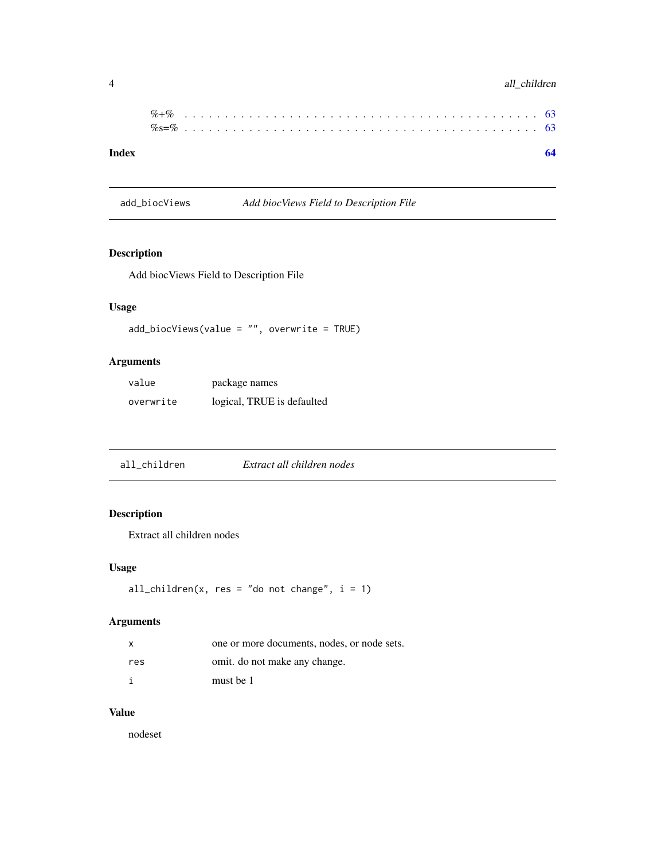## <span id="page-3-0"></span>4 all\_children

| Index |  |  |  |  |  |  |  |  |  |  |  |  |  |  |  |  |  |  |  |  |  |  |  |  |
|-------|--|--|--|--|--|--|--|--|--|--|--|--|--|--|--|--|--|--|--|--|--|--|--|--|
|       |  |  |  |  |  |  |  |  |  |  |  |  |  |  |  |  |  |  |  |  |  |  |  |  |
|       |  |  |  |  |  |  |  |  |  |  |  |  |  |  |  |  |  |  |  |  |  |  |  |  |

add\_biocViews *Add biocViews Field to Description File*

## Description

Add biocViews Field to Description File

## Usage

```
add_biocViews(value = "", overwrite = TRUE)
```
## Arguments

| value     | package names              |
|-----------|----------------------------|
| overwrite | logical, TRUE is defaulted |

## Description

Extract all children nodes

## Usage

```
all_children(x, res = "do not change", i = 1)
```
## Arguments

| x   | one or more documents, nodes, or node sets. |
|-----|---------------------------------------------|
| res | omit. do not make any change.               |
| i   | must be 1                                   |

#### Value

nodeset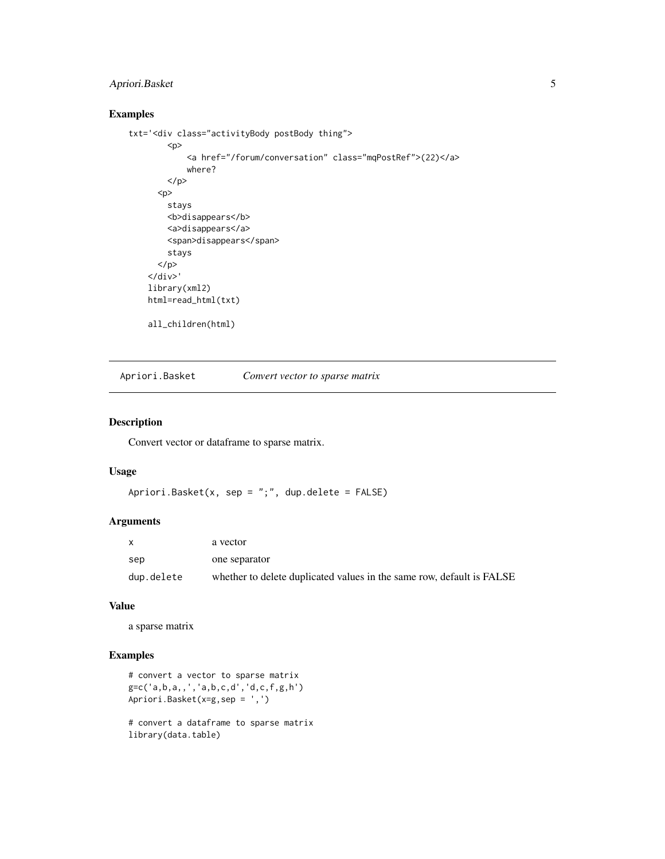## <span id="page-4-0"></span>Apriori.Basket 5

## Examples

```
txt='<div class="activityBody postBody thing">
        < p ><a href="/forum/conversation" class="mqPostRef">(22)</a>
            where?
        </p>
      <p>
        stays
        <b>disappears</b>
        <a>disappears</a>
        <span>disappears</span>
        stays
      </p>
    \langle/div\rangle'library(xml2)
   html=read_html(txt)
    all_children(html)
```
Apriori.Basket *Convert vector to sparse matrix*

## Description

Convert vector or dataframe to sparse matrix.

#### Usage

```
Apriori.Basket(x, sep = ";", dup.delete = FALSE)
```
#### Arguments

|            | a vector                                                              |
|------------|-----------------------------------------------------------------------|
| sep        | one separator                                                         |
| dup.delete | whether to delete duplicated values in the same row, default is FALSE |

#### Value

a sparse matrix

#### Examples

```
# convert a vector to sparse matrix
g=c('a,b,a,,','a,b,c,d','d,c,f,g,h')
Apriori.Basket(x=g,sep = ',')
```
# convert a dataframe to sparse matrix library(data.table)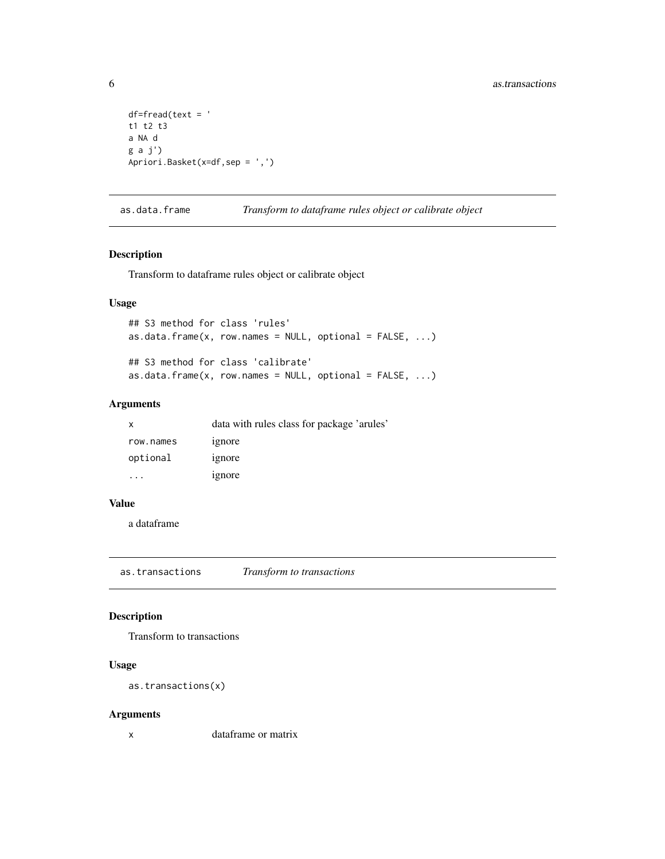```
df = freq(text = 't1 t2 t3
a NA d
g a j')
Apriori.Basket(x=df,sep = ',')
```
as.data.frame *Transform to dataframe rules object or calibrate object*

#### Description

Transform to dataframe rules object or calibrate object

#### Usage

```
## S3 method for class 'rules'
as.data.frame(x, row.names = NULL, optional = FALSE, ...)
## S3 method for class 'calibrate'
as.data.frame(x, row.names = NULL, optional = FALSE, ...)
```
#### Arguments

| x         | data with rules class for package 'arules' |
|-----------|--------------------------------------------|
| row.names | ignore                                     |
| optional  | ignore                                     |
| $\cdot$   | ignore                                     |

#### Value

a dataframe

as.transactions *Transform to transactions*

#### Description

Transform to transactions

## Usage

```
as.transactions(x)
```
## Arguments

x dataframe or matrix

<span id="page-5-0"></span>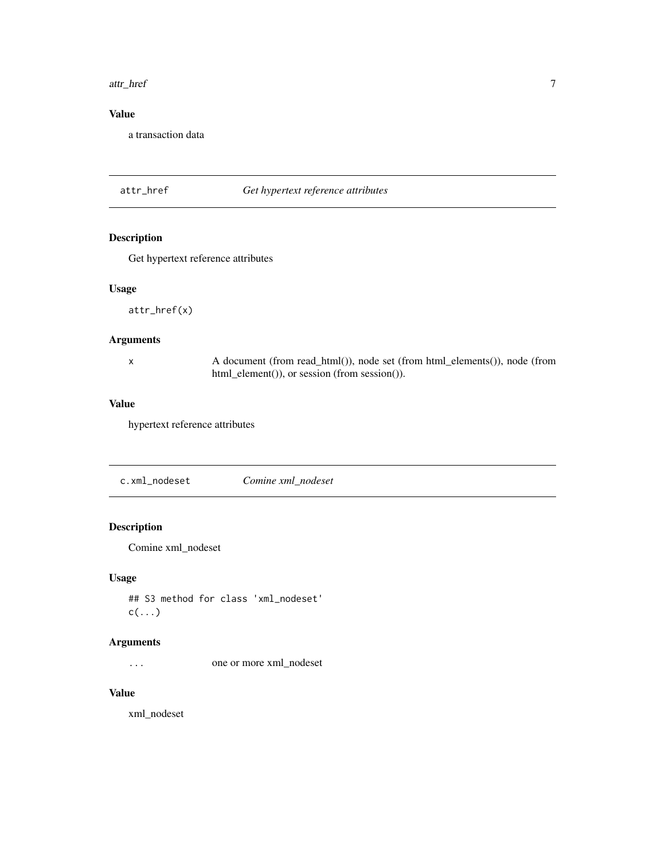#### <span id="page-6-0"></span>attr\_href 7

## Value

a transaction data

## attr\_href *Get hypertext reference attributes*

## Description

Get hypertext reference attributes

## Usage

attr\_href(x)

#### Arguments

x A document (from read\_html()), node set (from html\_elements()), node (from html\_element()), or session (from session()).

#### Value

hypertext reference attributes

c.xml\_nodeset *Comine xml\_nodeset*

## Description

Comine xml\_nodeset

## Usage

## S3 method for class 'xml\_nodeset'  $c(\ldots)$ 

## Arguments

... one or more xml\_nodeset

#### Value

xml\_nodeset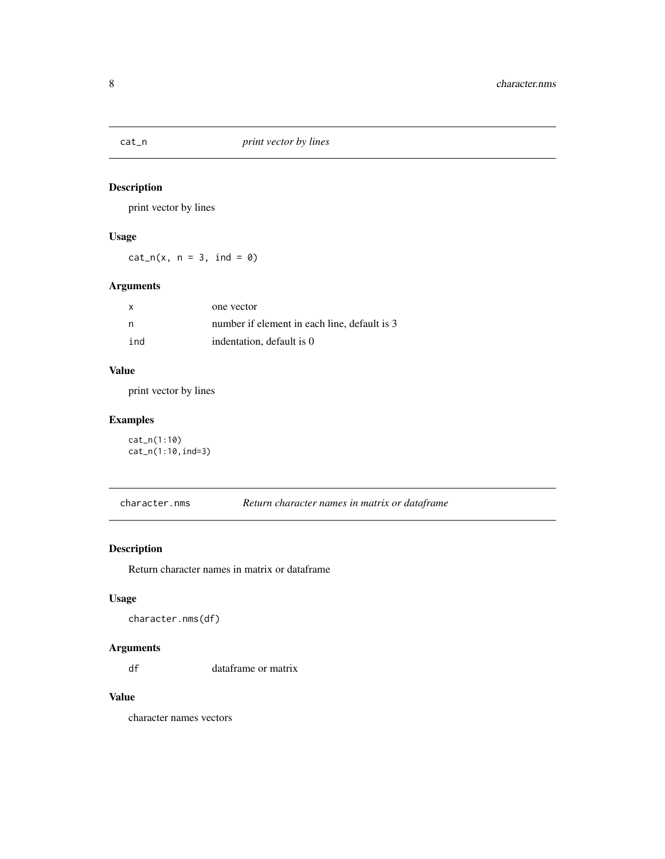<span id="page-7-0"></span>

print vector by lines

## Usage

 $cat_n(x, n = 3, ind = 0)$ 

## Arguments

| $\mathsf{x}$ | one vector                                   |
|--------------|----------------------------------------------|
| n.           | number if element in each line, default is 3 |
| ind          | indentation, default is 0                    |

## Value

print vector by lines

## Examples

cat\_n(1:10) cat\_n(1:10,ind=3)

character.nms *Return character names in matrix or dataframe*

## Description

Return character names in matrix or dataframe

## Usage

character.nms(df)

## Arguments

df dataframe or matrix

## Value

character names vectors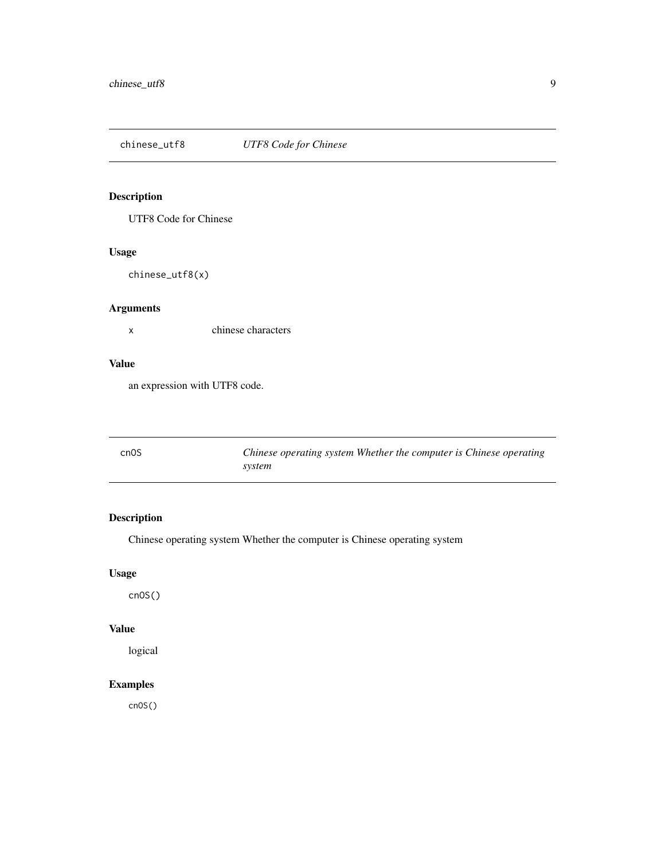<span id="page-8-0"></span>chinese\_utf8 *UTF8 Code for Chinese*

## Description

UTF8 Code for Chinese

## Usage

chinese\_utf8(x)

## Arguments

x chinese characters

#### Value

an expression with UTF8 code.

| cn <sub>0</sub> S | Chinese operating system Whether the computer is Chinese operating |
|-------------------|--------------------------------------------------------------------|
|                   | system                                                             |

## Description

Chinese operating system Whether the computer is Chinese operating system

## Usage

cnOS()

## Value

logical

## Examples

cnOS()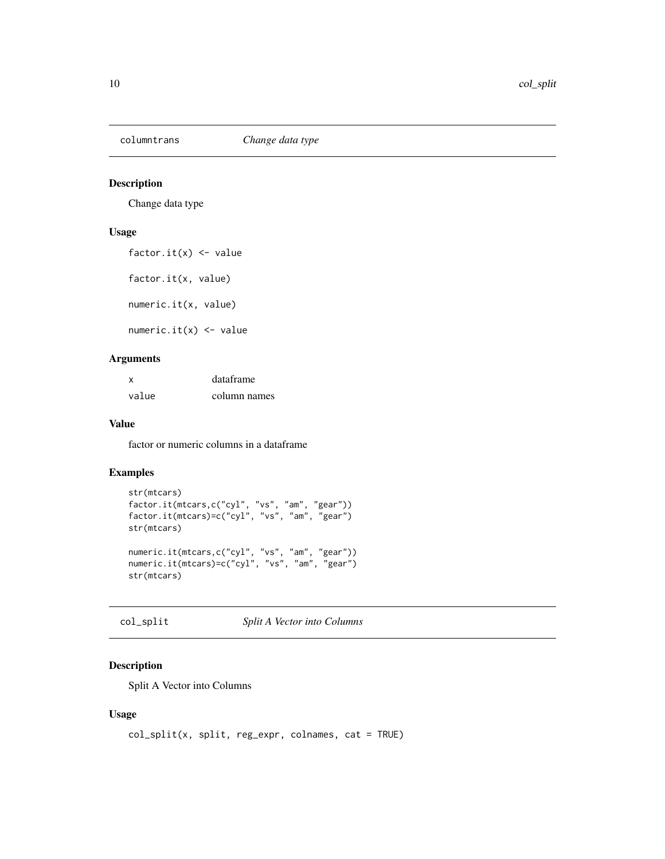<span id="page-9-0"></span>

Change data type

## Usage

```
factor.it(x) <- value
```
factor.it(x, value)

numeric.it(x, value)

numeric.it $(x)$  <- value

## Arguments

| x     | dataframe    |
|-------|--------------|
| value | column names |

#### Value

factor or numeric columns in a dataframe

#### Examples

```
str(mtcars)
factor.it(mtcars,c("cyl", "vs", "am", "gear"))
factor.it(mtcars)=c("cyl", "vs", "am", "gear")
str(mtcars)
numeric.it(mtcars,c("cyl", "vs", "am", "gear"))
numeric.it(mtcars)=c("cyl", "vs", "am", "gear")
str(mtcars)
```
col\_split *Split A Vector into Columns*

## Description

Split A Vector into Columns

#### Usage

```
col\_split(x, split, reg\_expr, columns, cat = TRUE)
```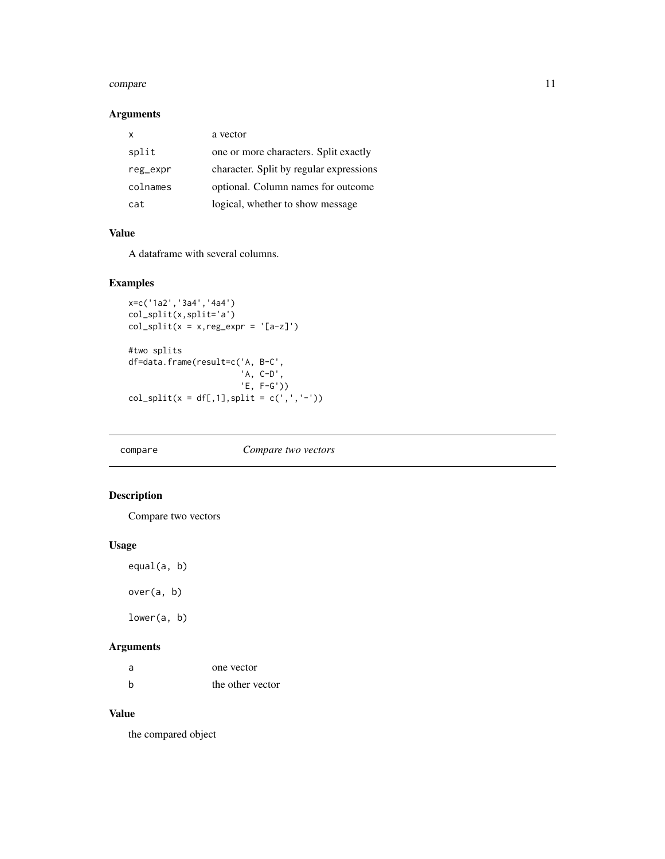#### <span id="page-10-0"></span>compare the compare that the compare is the compare of the compare in the compare in the compare in the compare in the compare in the compare in the compare in the compare in the compare in the compare in the compare in th

## Arguments

| x        | a vector                                |
|----------|-----------------------------------------|
| split    | one or more characters. Split exactly   |
| reg_expr | character. Split by regular expressions |
| colnames | optional. Column names for outcome      |
| cat.     | logical, whether to show message        |

## Value

A dataframe with several columns.

## Examples

```
x=c('1a2','3a4','4a4')
col_split(x,split='a')
col\_split(x = x, reg\_expr = '[a-z]')#two splits
df=data.frame(result=c('A, B-C',
                       'A, C-D',
                       'E, F-G'))
col_split(x = df[,1],split = c(',','-'))
```
#### compare *Compare two vectors*

## Description

Compare two vectors

## Usage

equal(a, b)

over(a, b)

lower(a, b)

## Arguments

| - a | one vector       |
|-----|------------------|
| - h | the other vector |

#### Value

the compared object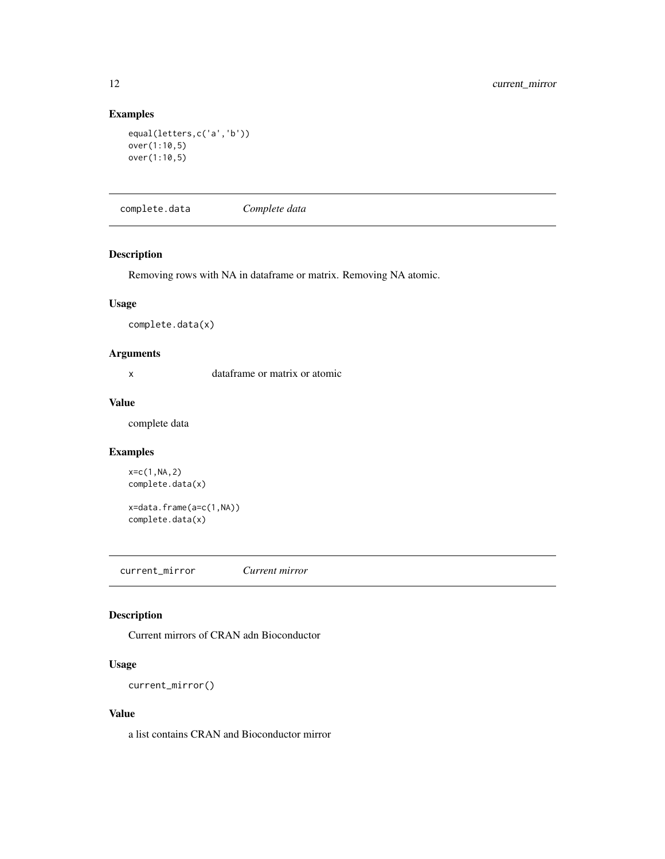## <span id="page-11-0"></span>Examples

```
equal(letters,c('a','b'))
over(1:10,5)
over(1:10,5)
```
complete.data *Complete data*

## Description

Removing rows with NA in dataframe or matrix. Removing NA atomic.

## Usage

complete.data(x)

#### Arguments

x dataframe or matrix or atomic

## Value

complete data

## Examples

```
x=c(1,NA,2)
complete.data(x)
```
x=data.frame(a=c(1,NA)) complete.data(x)

current\_mirror *Current mirror*

## Description

Current mirrors of CRAN adn Bioconductor

## Usage

current\_mirror()

#### Value

a list contains CRAN and Bioconductor mirror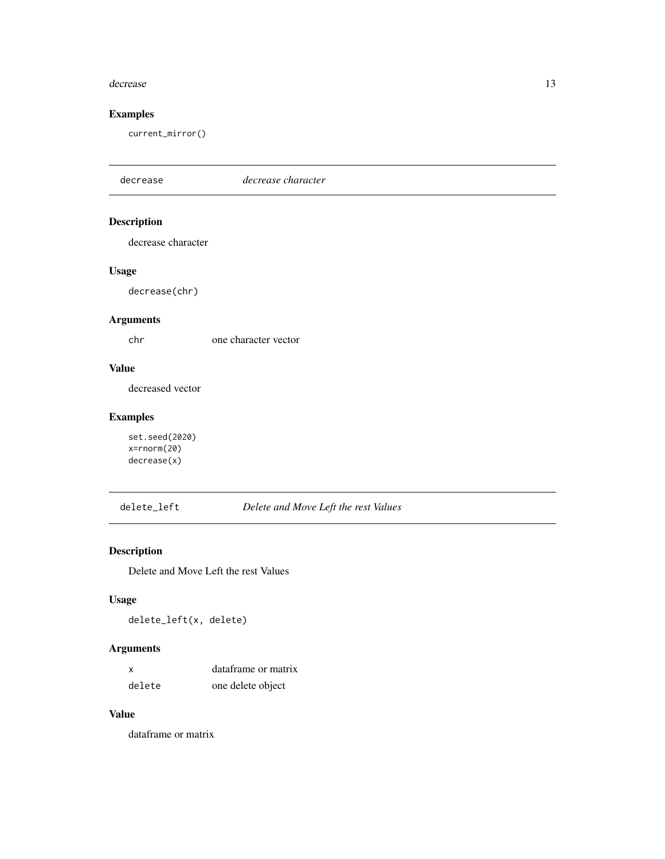#### <span id="page-12-0"></span>decrease and the set of the set of the set of the set of the set of the set of the set of the set of the set of the set of the set of the set of the set of the set of the set of the set of the set of the set of the set of

## Examples

current\_mirror()

decrease *decrease character* Description decrease character Usage decrease(chr) Arguments chr one character vector Value decreased vector Examples set.seed(2020)

x=rnorm(20) decrease(x)

delete\_left *Delete and Move Left the rest Values*

## Description

Delete and Move Left the rest Values

## Usage

delete\_left(x, delete)

## Arguments

| $\mathsf{x}$ | dataframe or matrix |
|--------------|---------------------|
| delete       | one delete object   |

#### Value

dataframe or matrix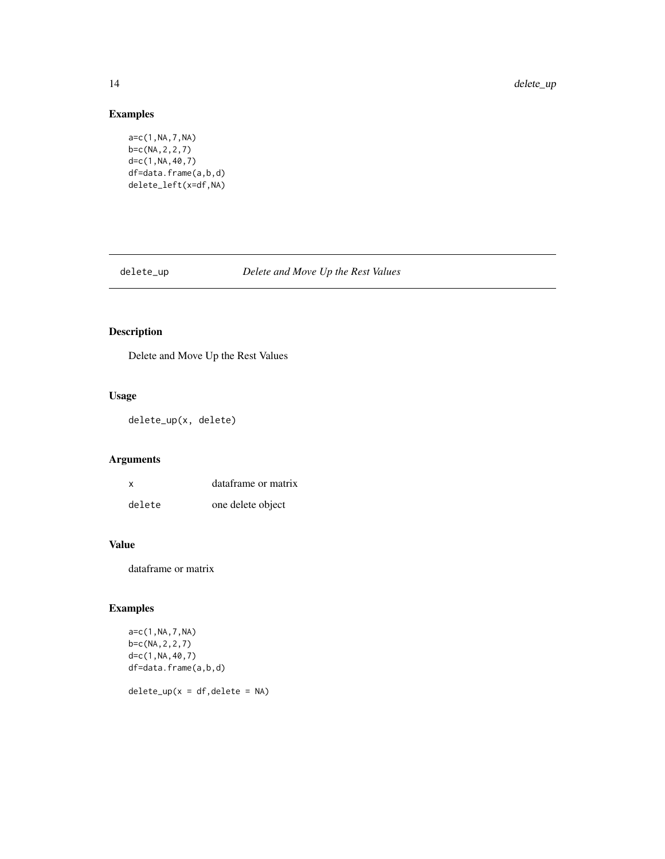## Examples

```
a=c(1,NA,7,NA)
b=c(NA,2,2,7)
d=c(1,NA,40,7)
df=data.frame(a,b,d)
delete_left(x=df,NA)
```
## delete\_up *Delete and Move Up the Rest Values*

## Description

Delete and Move Up the Rest Values

## Usage

delete\_up(x, delete)

## Arguments

| x      | dataframe or matrix |  |  |
|--------|---------------------|--|--|
| delete | one delete object   |  |  |

## Value

dataframe or matrix

## Examples

```
a=c(1,NA,7,NA)
b=c(NA,2,2,7)
d=c(1,NA,40,7)
df=data.frame(a,b,d)
```
 $delete\_up(x = df, delete = NA)$ 

<span id="page-13-0"></span>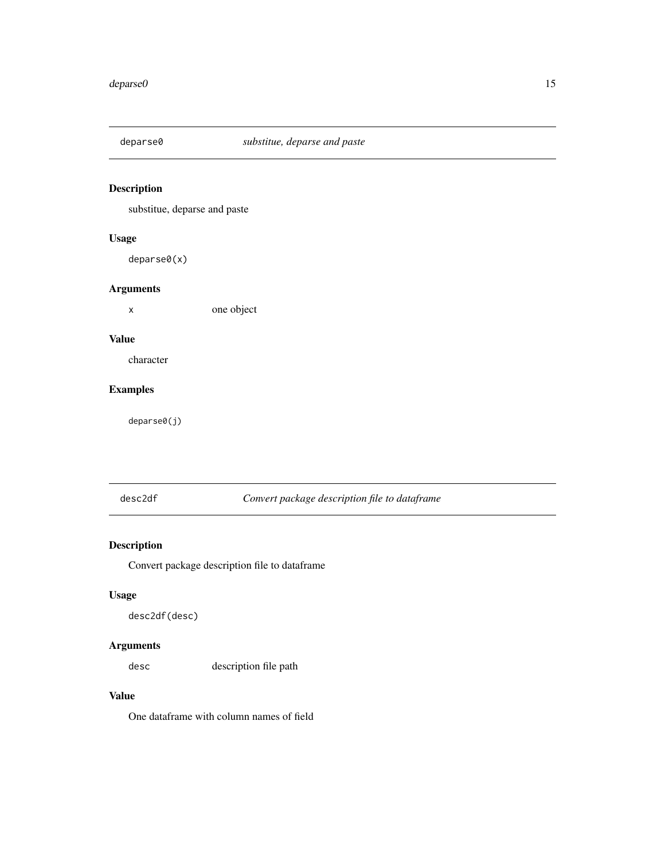<span id="page-14-0"></span>

substitue, deparse and paste

## Usage

deparse0(x)

## Arguments

x one object

#### Value

character

## Examples

deparse0(j)

desc2df *Convert package description file to dataframe*

## Description

Convert package description file to dataframe

## Usage

desc2df(desc)

## Arguments

desc description file path

#### Value

One dataframe with column names of field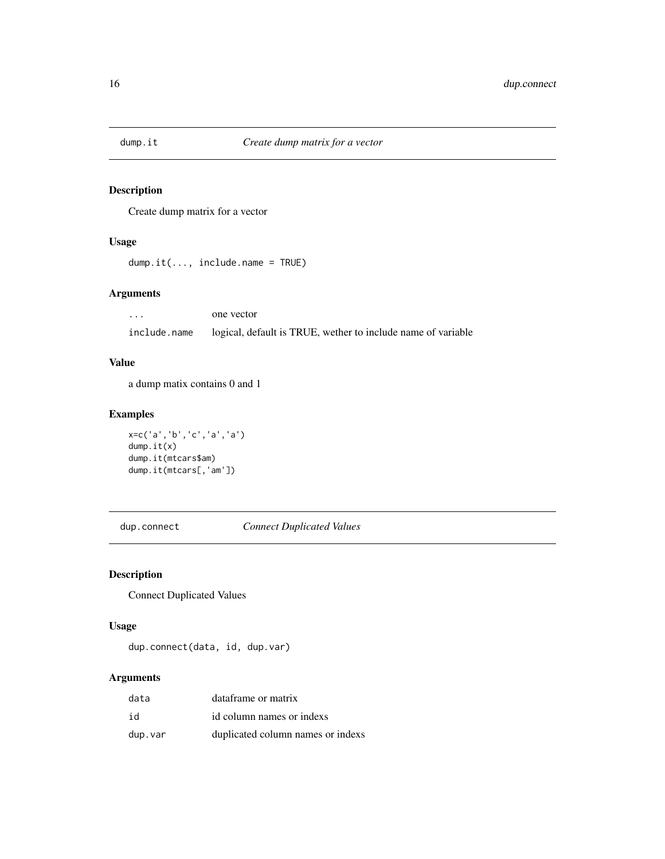<span id="page-15-0"></span>

Create dump matrix for a vector

#### Usage

dump.it(..., include.name = TRUE)

## Arguments

... one vector include.name logical, default is TRUE, wether to include name of variable

## Value

a dump matix contains 0 and 1

## Examples

```
x=c('a','b','c','a','a')
dump.it(x)
dump.it(mtcars$am)
dump.it(mtcars[,'am'])
```
dup.connect *Connect Duplicated Values*

## Description

Connect Duplicated Values

## Usage

dup.connect(data, id, dup.var)

## Arguments

| data    | dataframe or matrix               |
|---------|-----------------------------------|
| id      | id column names or indexs         |
| dup.var | duplicated column names or indexs |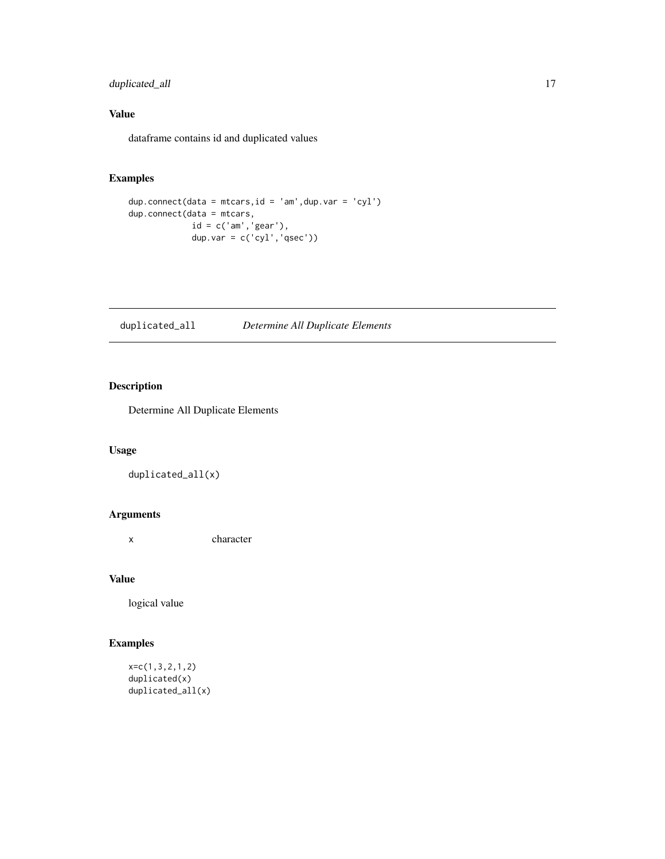## <span id="page-16-0"></span>duplicated\_all 17

## Value

dataframe contains id and duplicated values

## Examples

```
dup.connect(data = mtcars,id = 'am',dup.var = 'cyl')
dup.connect(data = mtcars,
            id = c('am','gear'),
            dup.var = c('cyl','qsec'))
```
duplicated\_all *Determine All Duplicate Elements*

## Description

Determine All Duplicate Elements

## Usage

```
duplicated_all(x)
```
#### Arguments

x character

#### Value

logical value

```
x=c(1,3,2,1,2)
duplicated(x)
duplicated_all(x)
```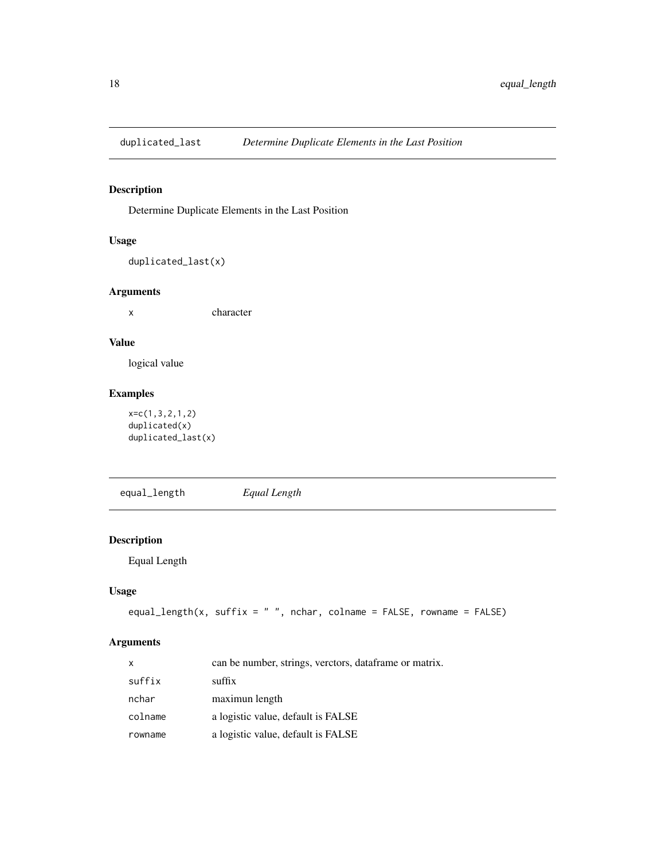<span id="page-17-0"></span>

Determine Duplicate Elements in the Last Position

## Usage

duplicated\_last(x)

## Arguments

x character

#### Value

logical value

## Examples

x=c(1,3,2,1,2) duplicated(x) duplicated\_last(x)

equal\_length *Equal Length*

## Description

Equal Length

## Usage

```
equal_length(x, suffix = " ", nchar, colname = FALSE, rowname = FALSE)
```
## Arguments

| X       | can be number, strings, verctors, dataframe or matrix. |
|---------|--------------------------------------------------------|
| suffix  | suffix                                                 |
| nchar   | maximun length                                         |
| colname | a logistic value, default is FALSE                     |
| rowname | a logistic value, default is FALSE                     |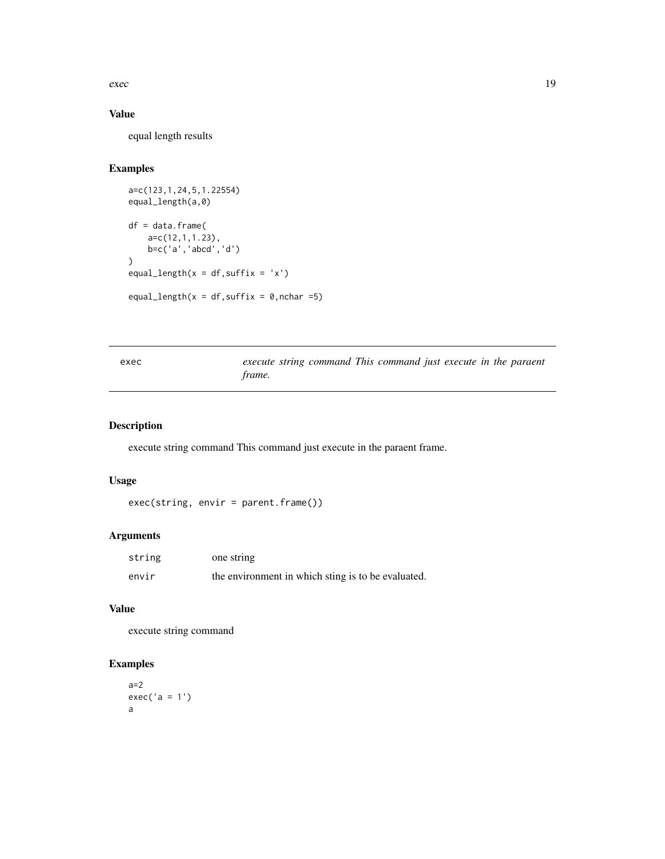<span id="page-18-0"></span> $e^{\lambda}$  executed the set of  $\lambda$  19

## Value

equal length results

## Examples

```
a=c(123,1,24,5,1.22554)
equal_length(a,0)
df = data.frame(
    a=c(12,1,1.23),
    b=c('a','abcd','d')
\mathcal{L}equal_length(x = df, suffix = 'x')
equal_length(x = df, suffix = 0, nchar = 5)
```

| exec |               |  | execute string command This command just execute in the paraent |  |  |  |
|------|---------------|--|-----------------------------------------------------------------|--|--|--|
|      | <i>frame.</i> |  |                                                                 |  |  |  |

## Description

execute string command This command just execute in the paraent frame.

#### Usage

exec(string, envir = parent.frame())

## Arguments

| string | one string                                         |
|--------|----------------------------------------------------|
| envir  | the environment in which sting is to be evaluated. |

## Value

execute string command

```
a=2exec('a = 1')
a
```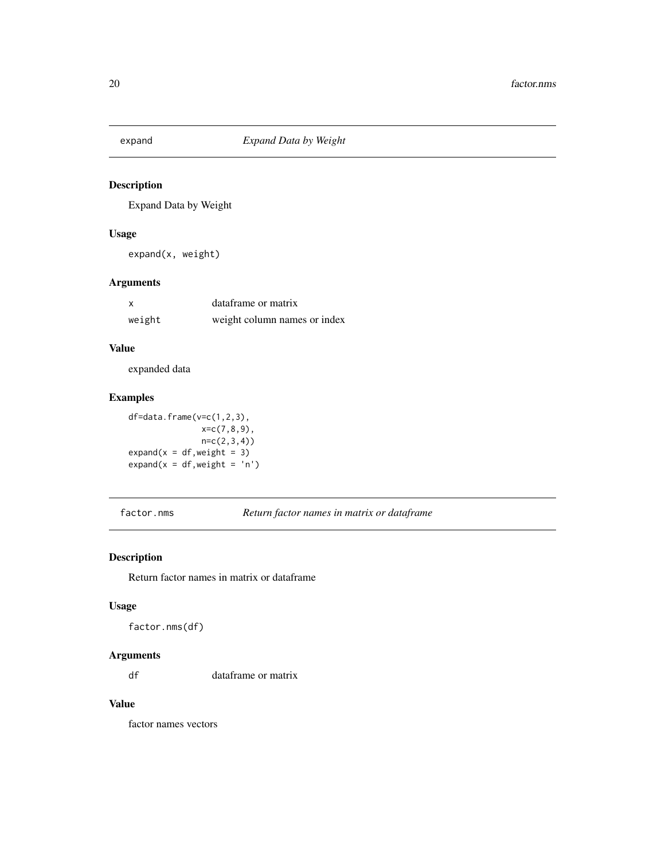<span id="page-19-0"></span>

Expand Data by Weight

## Usage

expand(x, weight)

## Arguments

| x      | dataframe or matrix          |  |  |  |
|--------|------------------------------|--|--|--|
| weight | weight column names or index |  |  |  |

## Value

expanded data

#### Examples

df=data.frame(v=c(1,2,3), x=c(7,8,9), n=c(2,3,4))  $expand(x = df, weight = 3)$  $expand(x = df, weight = 'n')$ 

factor.nms *Return factor names in matrix or dataframe*

## Description

Return factor names in matrix or dataframe

#### Usage

factor.nms(df)

#### Arguments

df dataframe or matrix

## Value

factor names vectors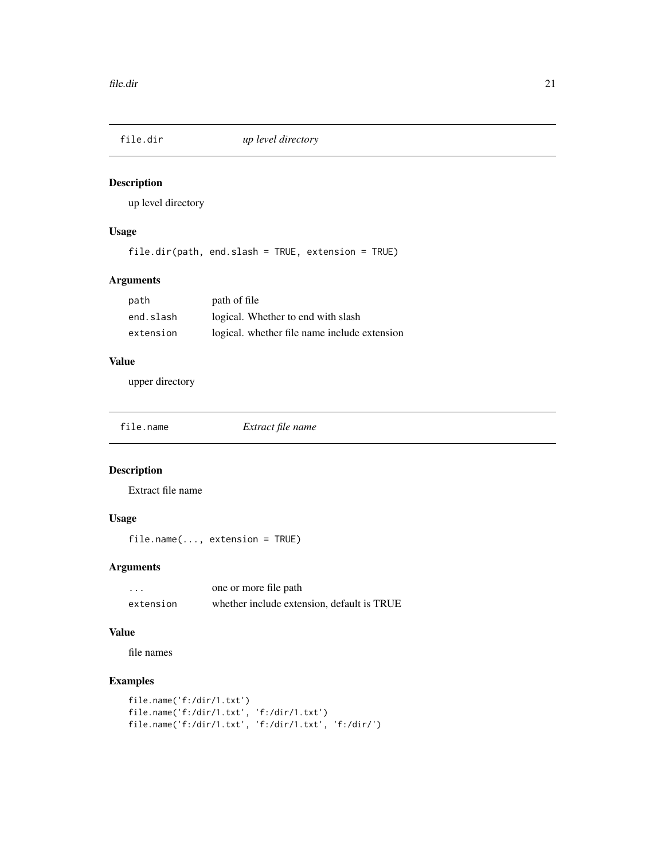<span id="page-20-0"></span>

up level directory

## Usage

file.dir(path, end.slash = TRUE, extension = TRUE)

## Arguments

| path      | path of file                                 |
|-----------|----------------------------------------------|
| end.slash | logical. Whether to end with slash           |
| extension | logical. whether file name include extension |

## Value

upper directory

| file.name | Extract file name |
|-----------|-------------------|
|           |                   |

## Description

Extract file name

## Usage

file.name(..., extension = TRUE)

## Arguments

| $\cdots$  | one or more file path                      |
|-----------|--------------------------------------------|
| extension | whether include extension, default is TRUE |

#### Value

file names

```
file.name('f:/dir/1.txt')
file.name('f:/dir/1.txt', 'f:/dir/1.txt')
file.name('f:/dir/1.txt', 'f:/dir/1.txt', 'f:/dir/')
```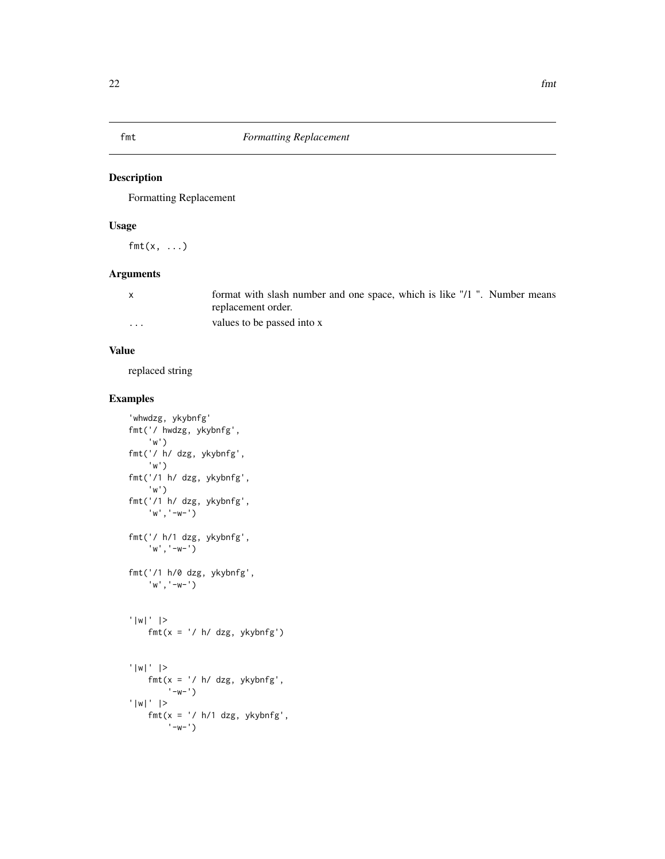<span id="page-21-0"></span>

Formatting Replacement

## Usage

 $fmt(x, \ldots)$ 

## Arguments

|   | format with slash number and one space, which is like "/1". Number means |
|---|--------------------------------------------------------------------------|
|   | replacement order.                                                       |
| . | values to be passed into x                                               |

#### Value

replaced string

```
'whwdzg, ykybnfg'
fmt('/ hwdzg, ykybnfg',
    'w')
fmt('/ h/ dzg, ykybnfg',
    'w')
fmt('/1 h/ dzg, ykybnfg',
    'w')
fmt('/1 h/ dzg, ykybnfg',
    'w','-w-')
fmt('/ h/1 dzg, ykybnfg',
    'w','-w-')
fmt('/1 h/0 dzg, ykybnfg',
    'w','-w-')
'|w|' |>
    fmt(x = ' / h / dzg, ykybnfg')'|w|' |>
    fmt(x = ' / h / dzg, ykybnfg','-w-')
'|w|' |>
    fmt(x = ' / h/1 \, dzg, ykybnfg','-w-')
```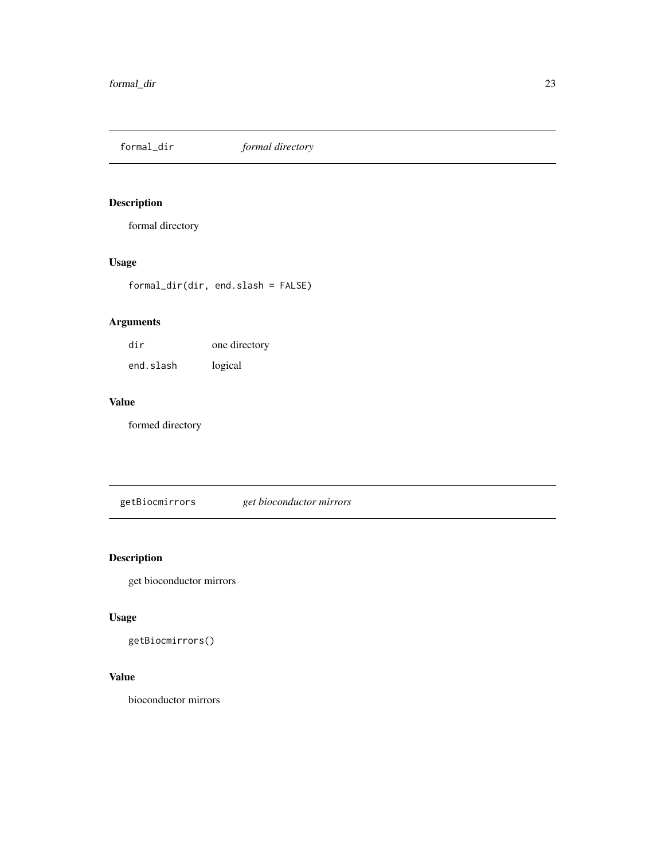<span id="page-22-0"></span>formal\_dir *formal directory*

## Description

formal directory

## Usage

formal\_dir(dir, end.slash = FALSE)

## Arguments

| dir       | one directory |
|-----------|---------------|
| end.slash | logical       |

## Value

formed directory

getBiocmirrors *get bioconductor mirrors*

## Description

get bioconductor mirrors

## Usage

getBiocmirrors()

## Value

bioconductor mirrors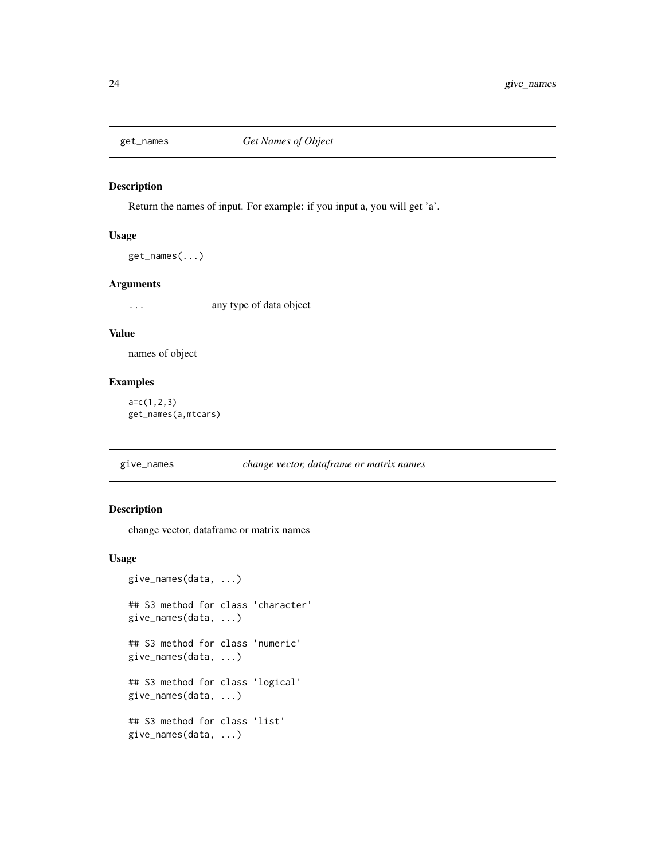<span id="page-23-0"></span>

Return the names of input. For example: if you input a, you will get 'a'.

#### Usage

get\_names(...)

#### Arguments

... any type of data object

#### Value

names of object

## Examples

a=c(1,2,3) get\_names(a,mtcars)

## give\_names *change vector, dataframe or matrix names*

#### Description

change vector, dataframe or matrix names

#### Usage

```
give_names(data, ...)
## S3 method for class 'character'
give_names(data, ...)
## S3 method for class 'numeric'
give_names(data, ...)
## S3 method for class 'logical'
give_names(data, ...)
## S3 method for class 'list'
give_names(data, ...)
```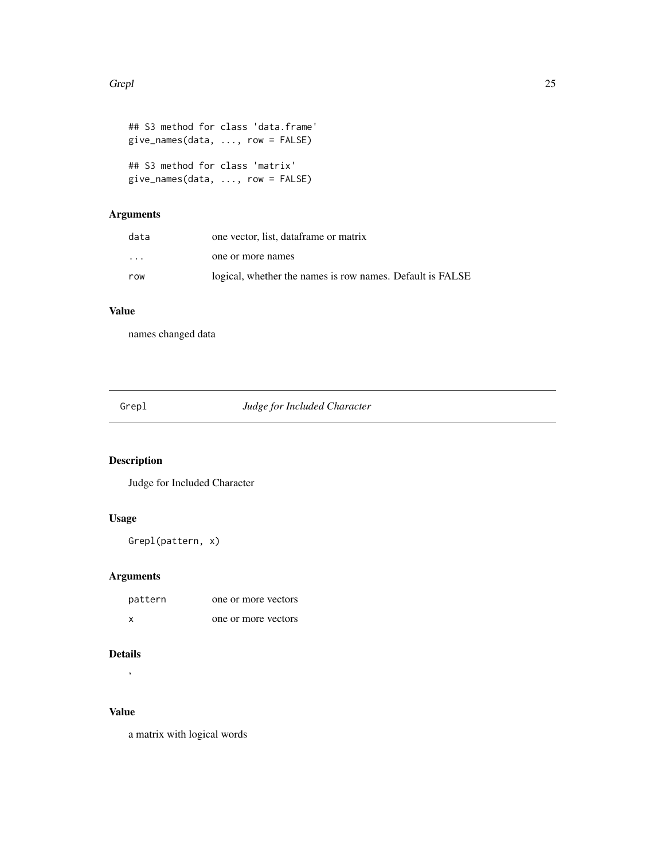#### <span id="page-24-0"></span>Grepl 25

```
## S3 method for class 'data.frame'
give_names(data, ..., row = FALSE)
## S3 method for class 'matrix'
give_names(data, ..., row = FALSE)
```
## Arguments

| data     | one vector, list, dataframe or matrix                     |
|----------|-----------------------------------------------------------|
| $\cdots$ | one or more names                                         |
| row      | logical, whether the names is row names. Default is FALSE |

## Value

names changed data

Grepl *Judge for Included Character*

## Description

Judge for Included Character

## Usage

Grepl(pattern, x)

## Arguments

| pattern | one or more vectors |
|---------|---------------------|
| x       | one or more vectors |

## Details

'

## Value

a matrix with logical words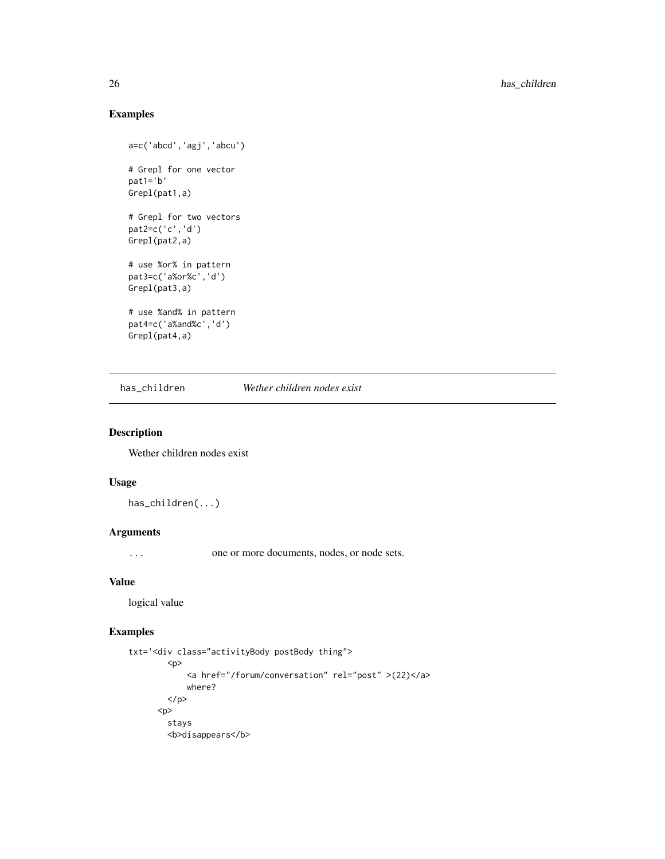## Examples

```
a=c('abcd','agj','abcu')
# Grepl for one vector
pat1='b'
Grepl(pat1,a)
# Grepl for two vectors
pat2=c('c','d')
Grepl(pat2,a)
# use %or% in pattern
pat3=c('a%or%c','d')
Grepl(pat3,a)
# use %and% in pattern
pat4=c('a%and%c','d')
Grepl(pat4,a)
```
has\_children *Wether children nodes exist*

#### Description

Wether children nodes exist

## Usage

has\_children(...)

#### Arguments

... one or more documents, nodes, or node sets.

#### Value

logical value

```
txt='<div class="activityBody postBody thing">
       <p>
           <a href="/forum/conversation" rel="post" >(22)</a>
           where?
       </p>
     <p>
       stays
       <b>disappears</b>
```
<span id="page-25-0"></span>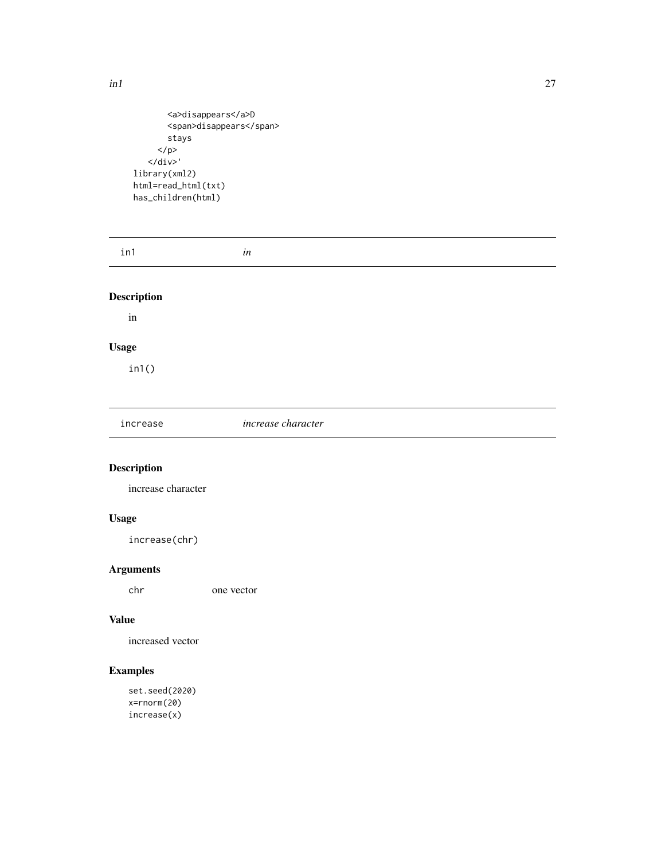```
<a>disappears</a>D
       <span>disappears</span>
       stays
     </p>
   \langle/div>'
library(xml2)
html=read_html(txt)
has_children(html)
```

| in1                 | in                 |  |
|---------------------|--------------------|--|
| <b>Description</b>  |                    |  |
| $\operatorname{in}$ |                    |  |
| <b>Usage</b>        |                    |  |
| in1()               |                    |  |
|                     |                    |  |
| increase            | increase character |  |

increase character

## Usage

increase(chr)

## Arguments

chr one vector

## Value

increased vector

## Examples

set.seed(2020) x=rnorm(20) increase(x)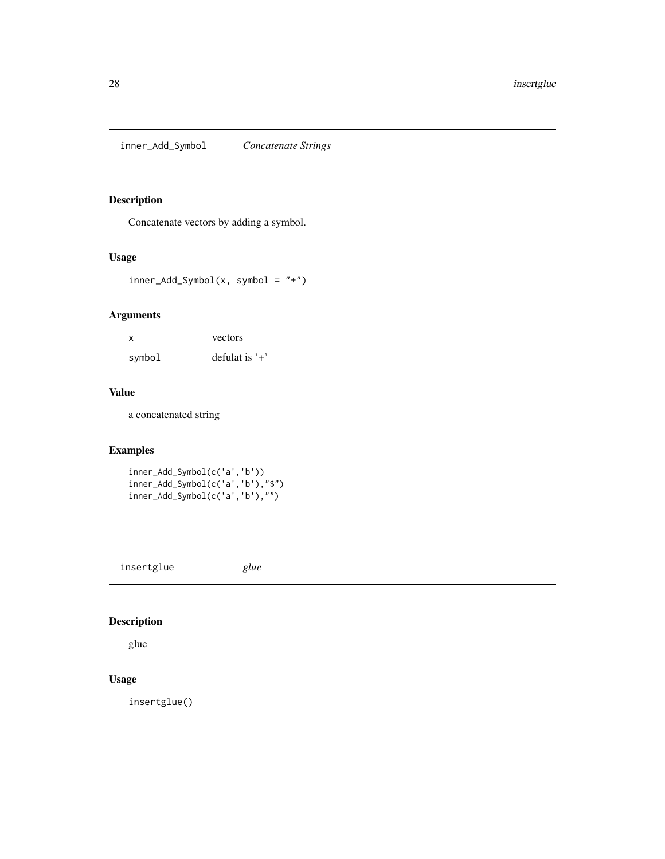<span id="page-27-0"></span>inner\_Add\_Symbol *Concatenate Strings*

## Description

Concatenate vectors by adding a symbol.

## Usage

inner\_Add\_Symbol(x, symbol = "+")

## Arguments

| X      | vectors         |
|--------|-----------------|
| symbol | defulat is $'+$ |

#### Value

a concatenated string

## Examples

inner\_Add\_Symbol(c('a','b')) inner\_Add\_Symbol(c('a','b'),"\$") inner\_Add\_Symbol(c('a','b'),"")

insertglue *glue*

## Description

glue

## Usage

insertglue()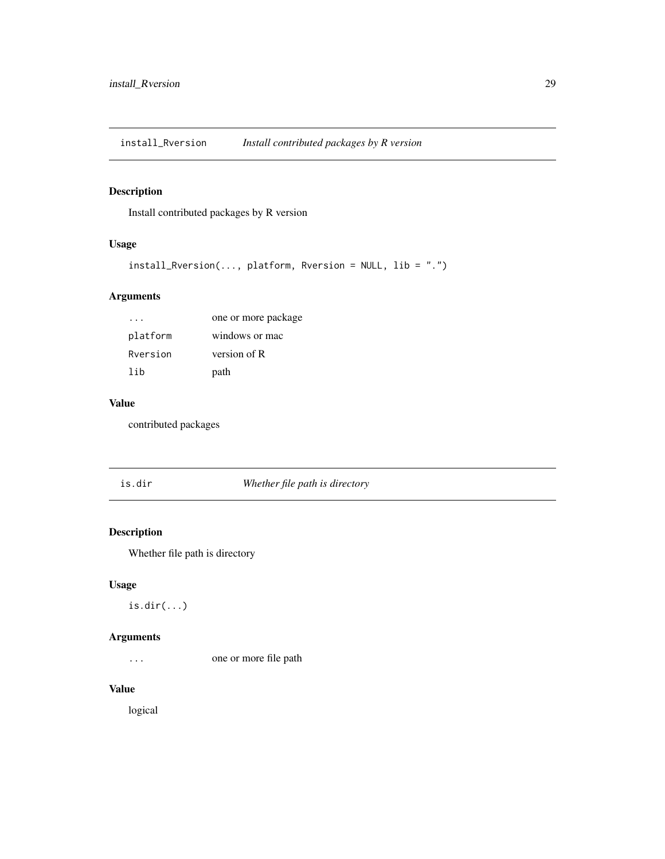<span id="page-28-0"></span>install\_Rversion *Install contributed packages by R version*

## Description

Install contributed packages by R version

## Usage

```
install_Rversion(..., platform, Rversion = NULL, lib = ".")
```
## Arguments

|          | one or more package |
|----------|---------------------|
| platform | windows or mac      |
| Rversion | version of R        |
| lih      | path                |

#### Value

contributed packages

is.dir *Whether file path is directory*

## Description

Whether file path is directory

## Usage

is.dir(...)

## Arguments

... one or more file path

#### Value

logical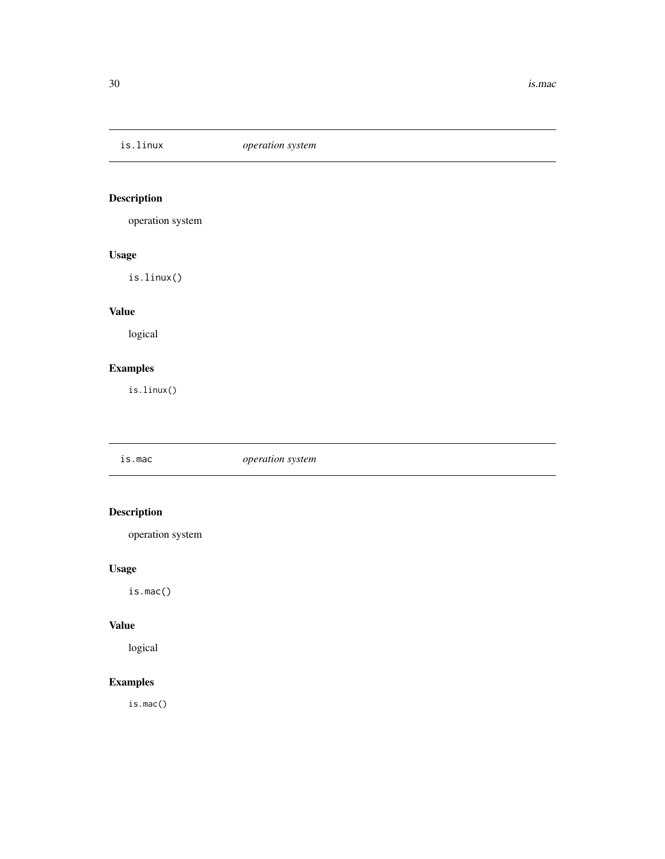<span id="page-29-0"></span>

operation system

## Usage

is.linux()

## Value

logical

## Examples

is.linux()

is.mac *operation system*

## Description

operation system

## Usage

is.mac()

## Value

logical

## Examples

is.mac()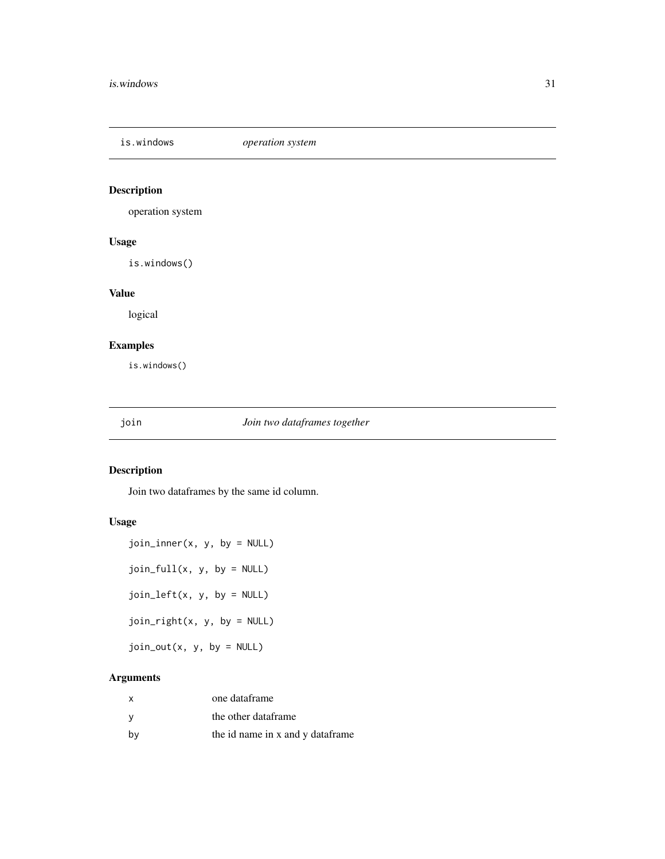<span id="page-30-0"></span>is.windows *operation system*

## Description

operation system

#### Usage

is.windows()

## Value

logical

## Examples

is.windows()

## join *Join two dataframes together*

## Description

Join two dataframes by the same id column.

## Usage

 $join\_inner(x, y, by = NULL)$ join\_full(x, y, by = NULL) join\_left(x, y, by = NULL)  $join\_right(x, y, by = NULL)$  $join_out(x, y, by = NULL)$ 

## Arguments

| X   | one dataframe                    |
|-----|----------------------------------|
| - V | the other dataframe              |
| bv  | the id name in x and y dataframe |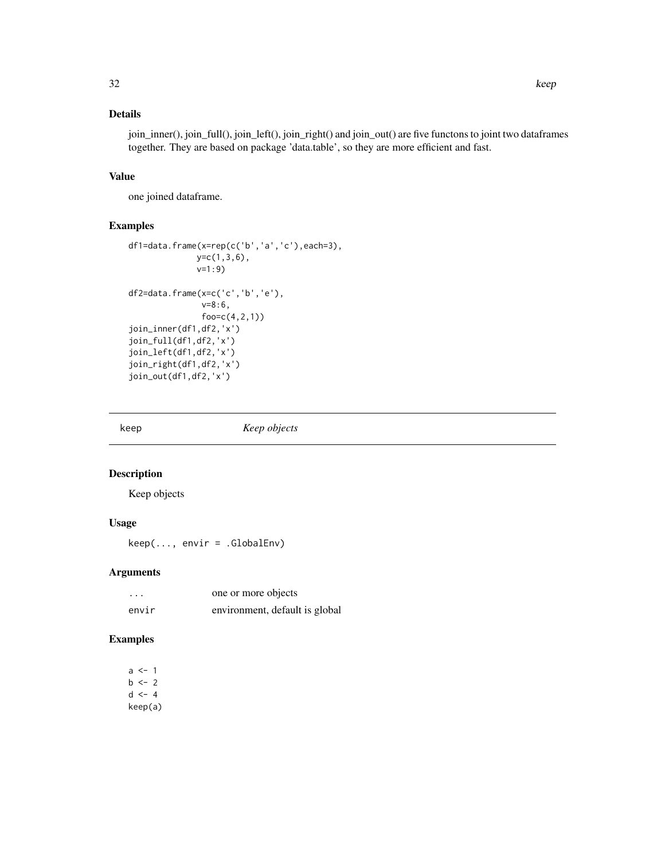<span id="page-31-0"></span>join\_inner(), join\_full(), join\_left(), join\_right() and join\_out() are five functons to joint two dataframes together. They are based on package 'data.table', so they are more efficient and fast.

## Value

one joined dataframe.

## Examples

```
df1=data.frame(x=rep(c('b','a','c'),each=3),
              y=c(1,3,6),
              v=1:9)
df2=data.frame(x=c('c','b','e'),
               v=8:6,
               foo=c(4,2,1))
join_inner(df1,df2,'x')
join_full(df1,df2,'x')
join_left(df1,df2,'x')
join_right(df1,df2,'x')
join_out(df1,df2,'x')
```
keep *Keep objects*

#### Description

Keep objects

#### Usage

 $keep(..., envir = .GlobalEnv)$ 

## Arguments

| $\cdots$ | one or more objects            |
|----------|--------------------------------|
| envir    | environment, default is global |

## Examples

 $a < -1$  $b \le -2$  $d \le -4$ keep(a)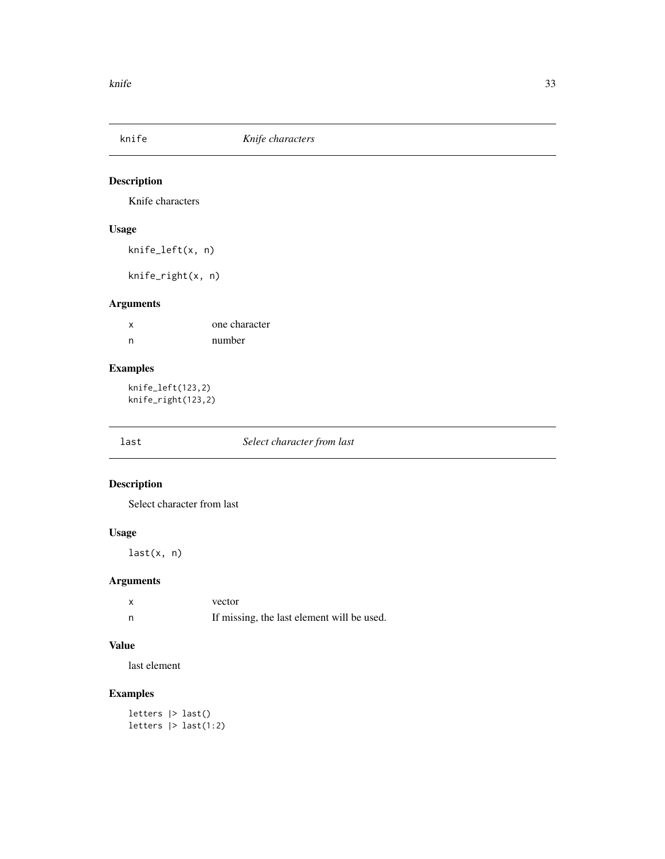<span id="page-32-0"></span>

Knife characters

## Usage

knife\_left(x, n)

knife\_right(x, n)

## Arguments

| x | one character |
|---|---------------|
| n | number        |

## Examples

knife\_left(123,2) knife\_right(123,2)

## last *Select character from last*

## Description

Select character from last

## Usage

last(x, n)

## Arguments

| $\boldsymbol{\mathsf{x}}$ | vector                                     |
|---------------------------|--------------------------------------------|
| n                         | If missing, the last element will be used. |

## Value

last element

## Examples

letters |> last() letters |> last(1:2)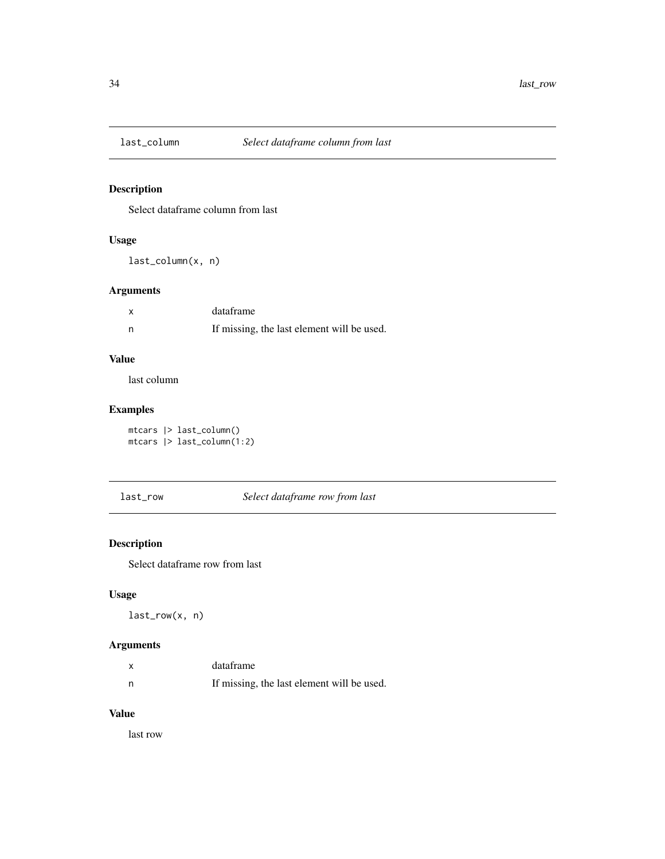<span id="page-33-0"></span>

Select dataframe column from last

## Usage

last\_column(x, n)

## Arguments

|     | dataframe                                  |
|-----|--------------------------------------------|
| - n | If missing, the last element will be used. |

## Value

last column

## Examples

mtcars |> last\_column() mtcars |> last\_column(1:2)

last\_row *Select dataframe row from last*

## Description

Select dataframe row from last

## Usage

last\_row(x, n)

## Arguments

| x | dataframe                                  |
|---|--------------------------------------------|
| n | If missing, the last element will be used. |

#### Value

last row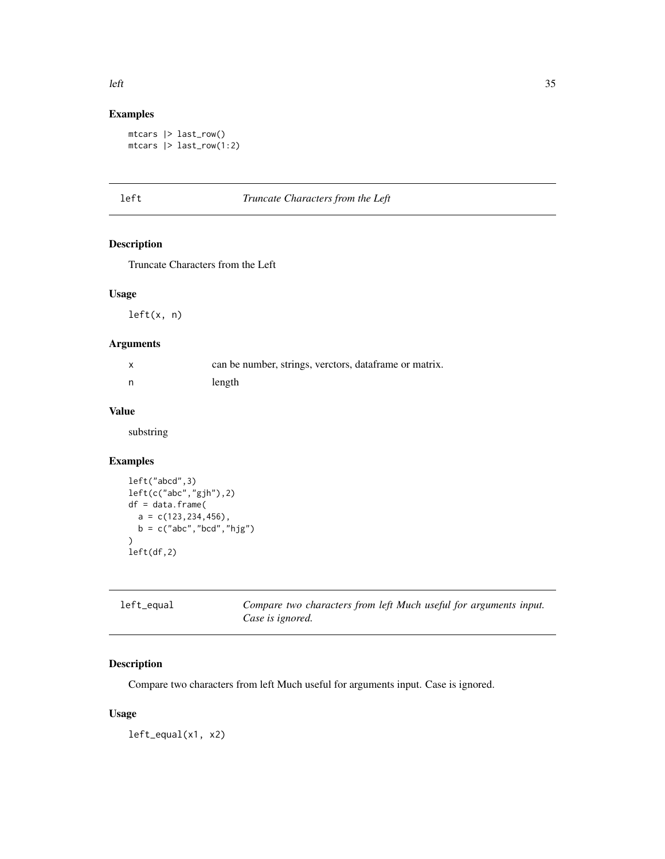## Examples

```
mtcars |> last_row()
mtcars |> last_row(1:2)
```
## left *Truncate Characters from the Left*

## Description

Truncate Characters from the Left

#### Usage

left(x, n)

## Arguments

| $\mathsf{x}$ | can be number, strings, verctors, dataframe or matrix. |
|--------------|--------------------------------------------------------|
| n            | length                                                 |

## Value

substring

## Examples

```
left("abcd",3)
left(c("abc","gjh"),2)
df = data.frame(
  a = c(123, 234, 456),
  b = c("abc", "bcd", "hjg")\mathcal{L}left(df,2)
```

| left_equal | Compare two characters from left Much useful for arguments input. |
|------------|-------------------------------------------------------------------|
|            | Case is ignored.                                                  |

## Description

Compare two characters from left Much useful for arguments input. Case is ignored.

## Usage

left\_equal(x1, x2)

<span id="page-34-0"></span> $\text{left}$  35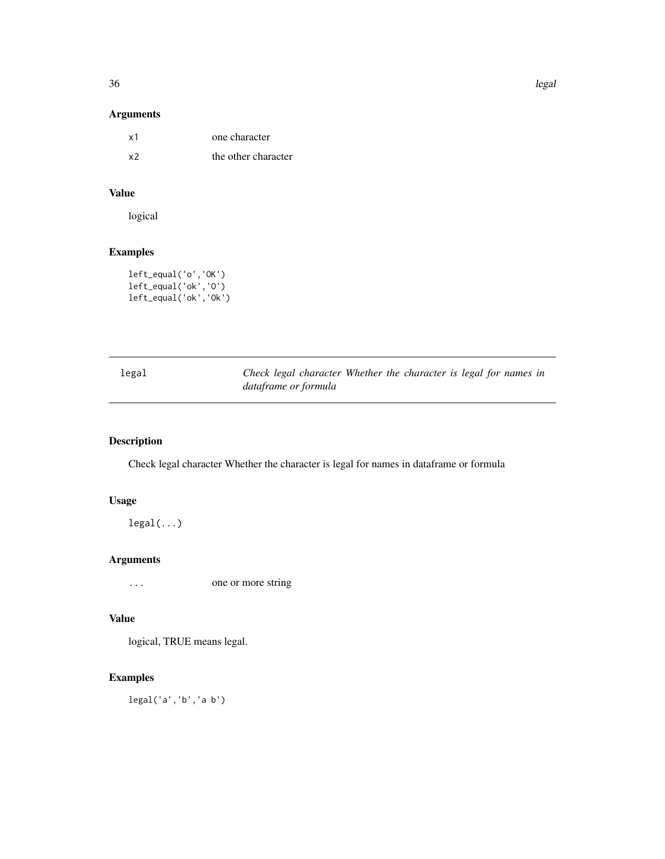<span id="page-35-0"></span>

## Arguments

| x1 | one character       |
|----|---------------------|
| x2 | the other character |

## Value

logical

## Examples

left\_equal('o','OK') left\_equal('ok','O') left\_equal('ok','Ok')

| legal | Check legal character Whether the character is legal for names in |
|-------|-------------------------------------------------------------------|
|       | dataframe or formula                                              |

## Description

Check legal character Whether the character is legal for names in dataframe or formula

## Usage

legal(...)

## Arguments

... one or more string

#### Value

logical, TRUE means legal.

## Examples

legal('a','b','a b')

36 legal and the set of the set of the set of the set of the set of the set of the set of the set of the set of the set of the set of the set of the set of the set of the set of the set of the set of the set of the set of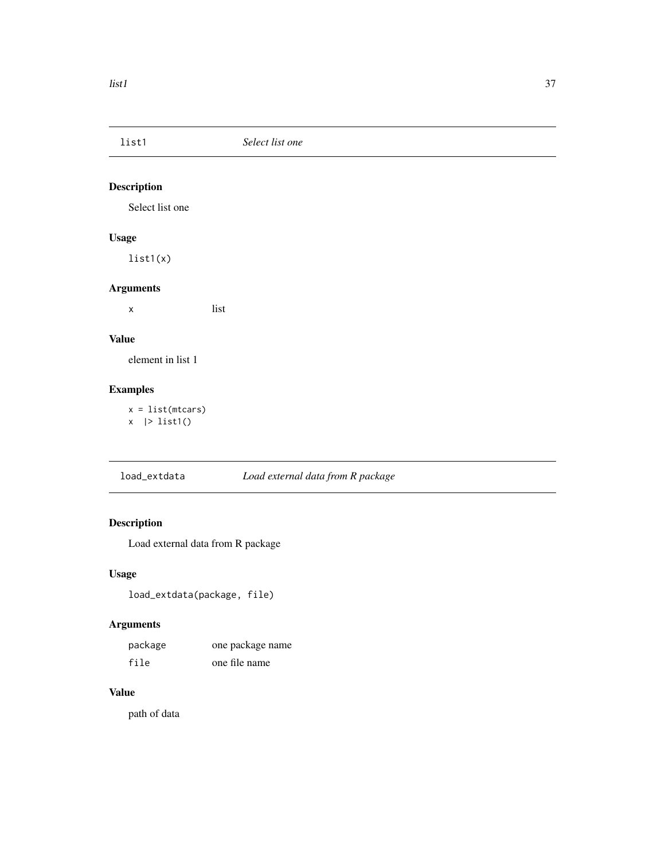<span id="page-36-0"></span>

Select list one

## Usage

list1(x)

## Arguments

x list

#### Value

element in list 1

## Examples

 $x = list(mtcars)$ x |> list1()

load\_extdata *Load external data from R package*

## Description

Load external data from R package

## Usage

```
load_extdata(package, file)
```
## Arguments

| package | one package name |
|---------|------------------|
| file    | one file name    |

## Value

path of data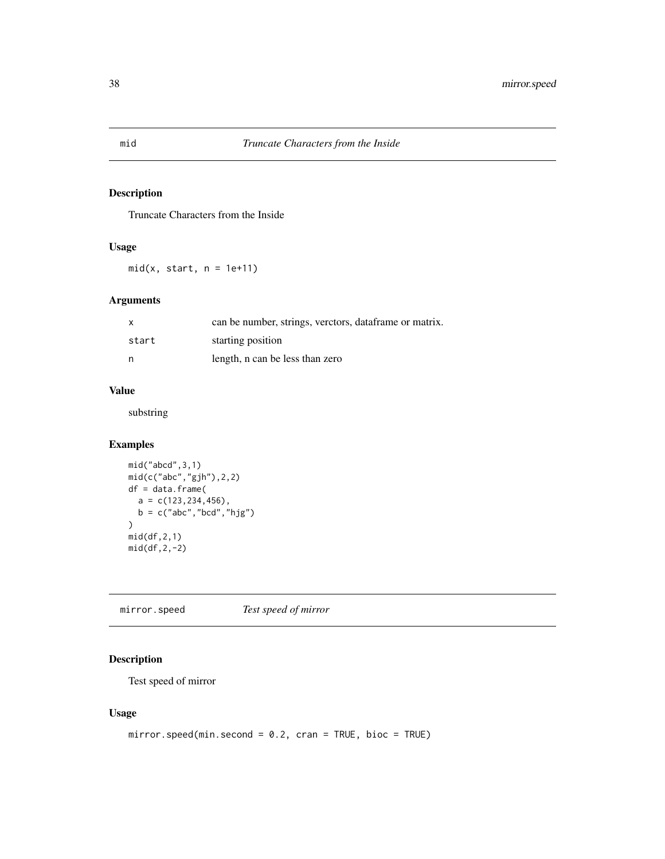Truncate Characters from the Inside

#### Usage

 $mid(x, start, n = 1e+11)$ 

## Arguments

| $\mathsf{x}$ | can be number, strings, verctors, dataframe or matrix. |
|--------------|--------------------------------------------------------|
| start        | starting position                                      |
| n            | length, n can be less than zero                        |

#### Value

substring

## Examples

```
mid("abcd",3,1)
mid(c("abc","gjh"),2,2)
df = data.frame(
  a = c(123, 234, 456),
  b = c("abc","bcd","hjg")
)
mid(df,2,1)
mid(df,2,-2)
```
mirror.speed *Test speed of mirror*

## Description

Test speed of mirror

## Usage

```
mirror.speed(min.second = 0.2, cran = TRUE, bioc = TRUE)
```
<span id="page-37-0"></span>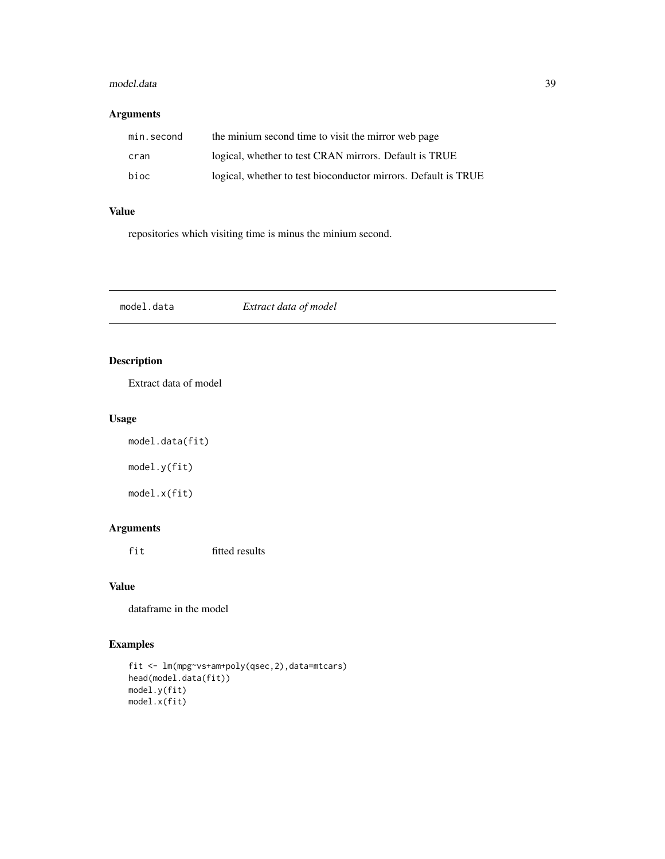#### <span id="page-38-0"></span>model.data 39

## Arguments

| min.second | the minium second time to visit the mirror web page            |
|------------|----------------------------------------------------------------|
| cran       | logical, whether to test CRAN mirrors. Default is TRUE         |
| bioc       | logical, whether to test bioconductor mirrors. Default is TRUE |

## Value

repositories which visiting time is minus the minium second.

| model.data | Extract data of model |  |
|------------|-----------------------|--|
|------------|-----------------------|--|

## Description

Extract data of model

## Usage

model.data(fit) model.y(fit) model.x(fit)

## Arguments

fit fitted results

## Value

dataframe in the model

```
fit <- lm(mpg~vs+am+poly(qsec,2),data=mtcars)
head(model.data(fit))
model.y(fit)
model.x(fit)
```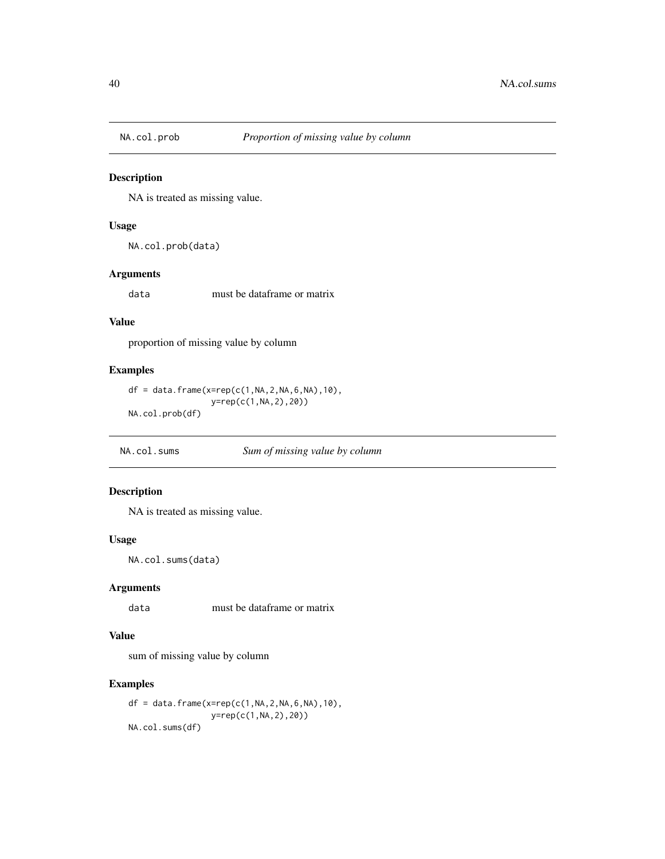<span id="page-39-0"></span>

NA is treated as missing value.

## Usage

NA.col.prob(data)

#### Arguments

data must be dataframe or matrix

## Value

proportion of missing value by column

## Examples

```
df = data.frame(x=rep(c(1,NA,2,NA,6,NA),10),
                 y=rep(c(1,NA,2),20))
NA.col.prob(df)
```
NA.col.sums *Sum of missing value by column*

## Description

NA is treated as missing value.

#### Usage

NA.col.sums(data)

## Arguments

data must be dataframe or matrix

#### Value

sum of missing value by column

```
df = data.frame(x=rep(c(1,NA,2,NA,6,NA),10),
                 y=rep(c(1,NA,2),20))
NA.col.sums(df)
```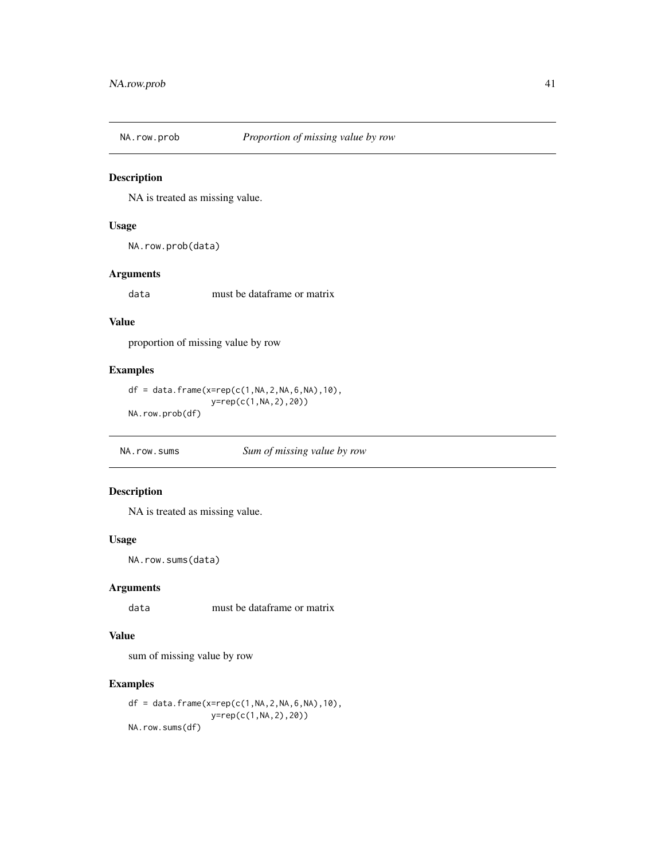<span id="page-40-0"></span>

NA is treated as missing value.

## Usage

NA.row.prob(data)

## Arguments

data must be dataframe or matrix

## Value

proportion of missing value by row

## Examples

```
df = data.frame(x=rep(c(1,NA,2,NA,6,NA),10),
                 y=rep(c(1,NA,2),20))
NA.row.prob(df)
```
NA.row.sums *Sum of missing value by row*

## Description

NA is treated as missing value.

#### Usage

NA.row.sums(data)

## Arguments

data must be dataframe or matrix

#### Value

sum of missing value by row

```
df = data.frame(x=rep(c(1,NA,2,NA,6,NA),10),
                 y=rep(c(1,NA,2),20))
NA.row.sums(df)
```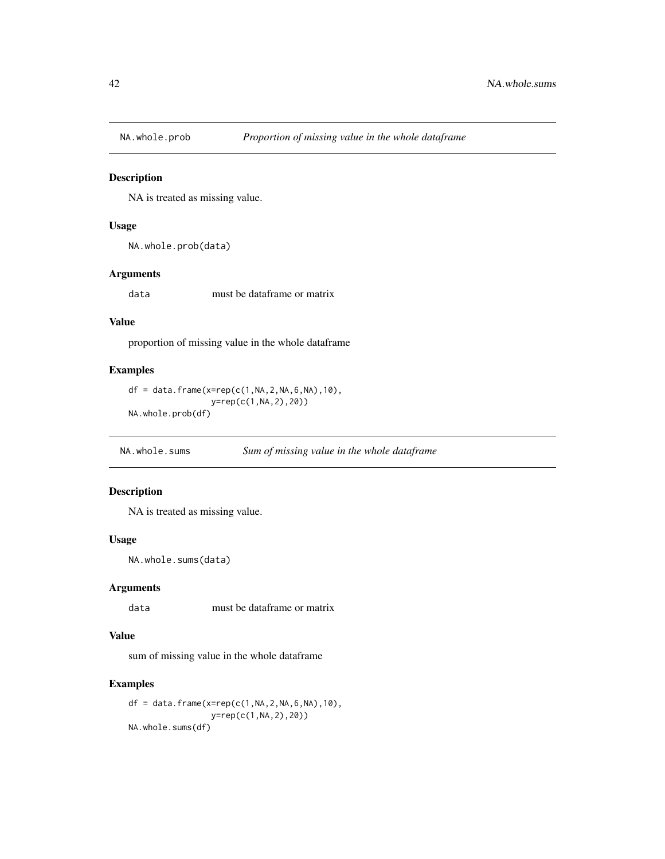<span id="page-41-0"></span>

NA is treated as missing value.

## Usage

```
NA.whole.prob(data)
```
## Arguments

data must be dataframe or matrix

## Value

proportion of missing value in the whole dataframe

## Examples

```
df = data.frame(x=rep(c(1,NA,2,NA,6,NA),10),
                 y=rep(c(1,NA,2),20))
NA.whole.prob(df)
```
NA.whole.sums *Sum of missing value in the whole dataframe*

## Description

NA is treated as missing value.

#### Usage

NA.whole.sums(data)

#### Arguments

data must be dataframe or matrix

#### Value

sum of missing value in the whole dataframe

```
df = data.frame(x=rep(c(1,NA,2,NA,6,NA),10),
                 y=rep(c(1,NA,2),20))
NA.whole.sums(df)
```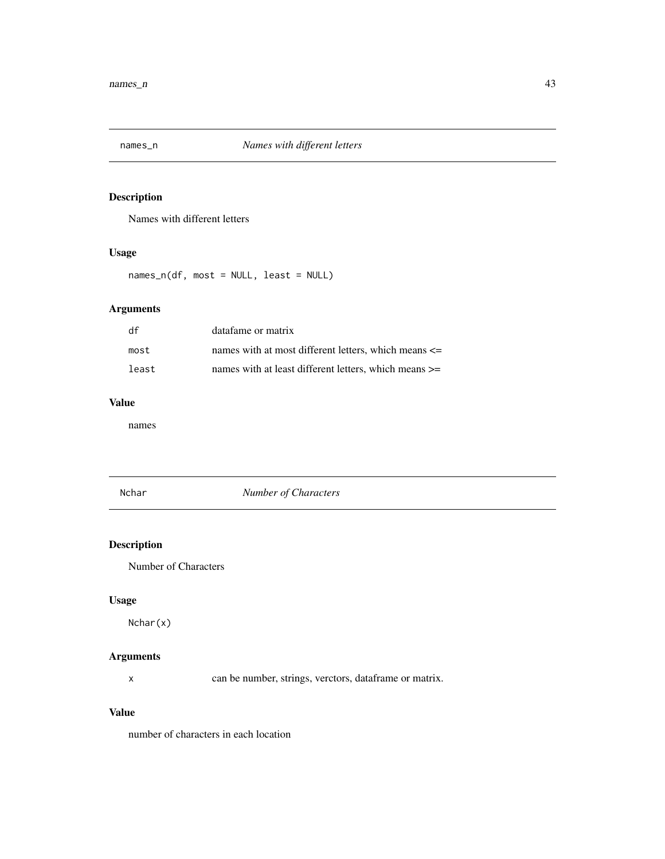<span id="page-42-0"></span>

Names with different letters

## Usage

names\_n(df, most = NULL, least = NULL)

## Arguments

| df    | datafame or matrix                                        |
|-------|-----------------------------------------------------------|
| most  | names with at most different letters, which means $\leq$  |
| least | names with at least different letters, which means $\geq$ |

#### Value

names

Nchar *Number of Characters*

## Description

Number of Characters

## Usage

Nchar(x)

## Arguments

x can be number, strings, verctors, dataframe or matrix.

## Value

number of characters in each location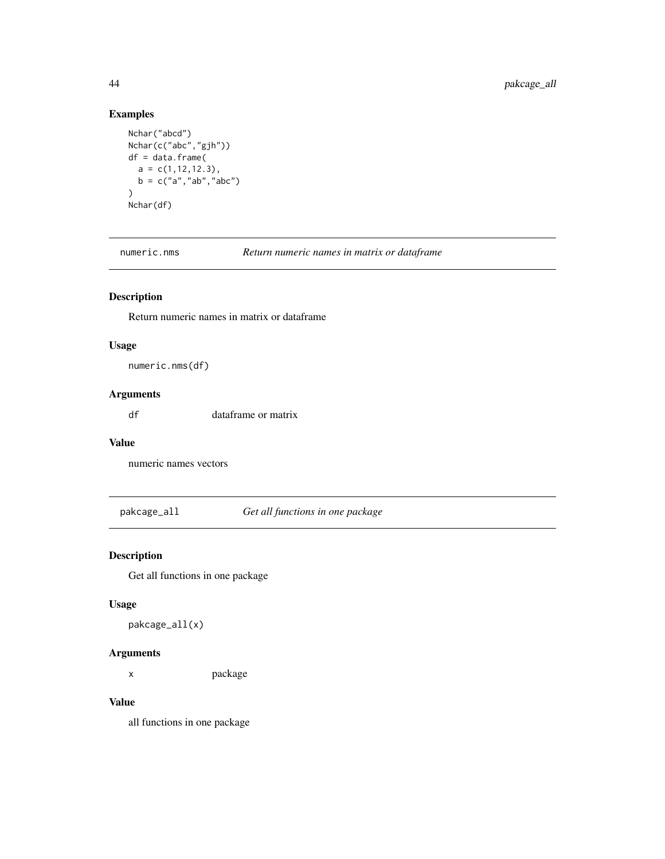## Examples

```
Nchar("abcd")
Nchar(c("abc","gjh"))
df = data.frame(
  a = c(1, 12, 12.3),b = c("a", "ab", "abc")\mathcal{L}Nchar(df)
```
numeric.nms *Return numeric names in matrix or dataframe*

## Description

Return numeric names in matrix or dataframe

## Usage

numeric.nms(df)

## Arguments

df dataframe or matrix

## Value

numeric names vectors

pakcage\_all *Get all functions in one package*

## Description

Get all functions in one package

#### Usage

pakcage\_all(x)

#### Arguments

x package

#### Value

all functions in one package

<span id="page-43-0"></span>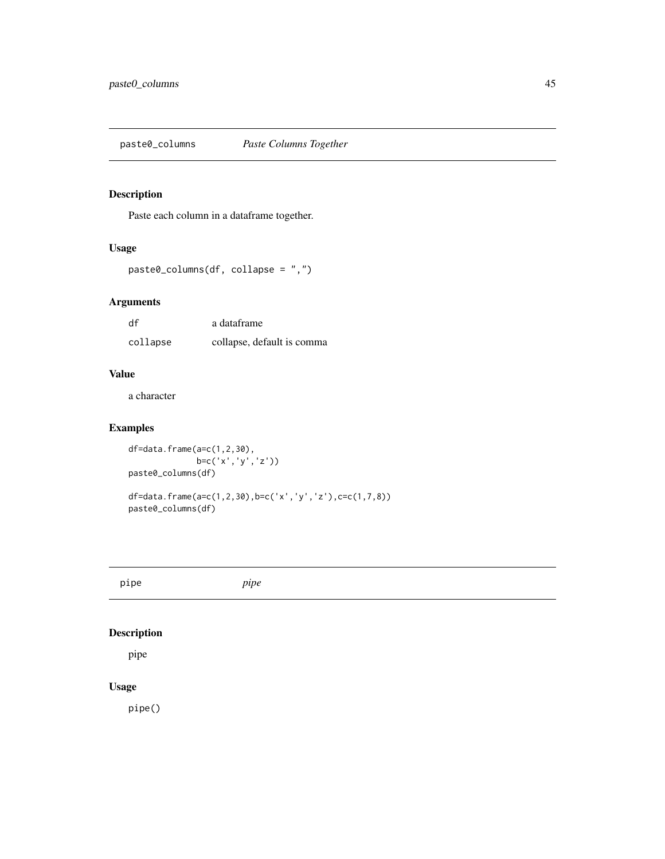<span id="page-44-0"></span>

Paste each column in a dataframe together.

## Usage

```
paste0_columns(df, collapse = ",")
```
## Arguments

| df       | a dataframe                |
|----------|----------------------------|
| collapse | collapse, default is comma |

#### Value

a character

## Examples

```
df=data.frame(a=c(1,2,30),
              b=c('x','y','z'))
paste0_columns(df)
df=data.frame(a=c(1,2,30),b=c('x','y','z'),c=c(1,7,8))
paste0_columns(df)
```
pipe *pipe*

## Description

pipe

## Usage

pipe()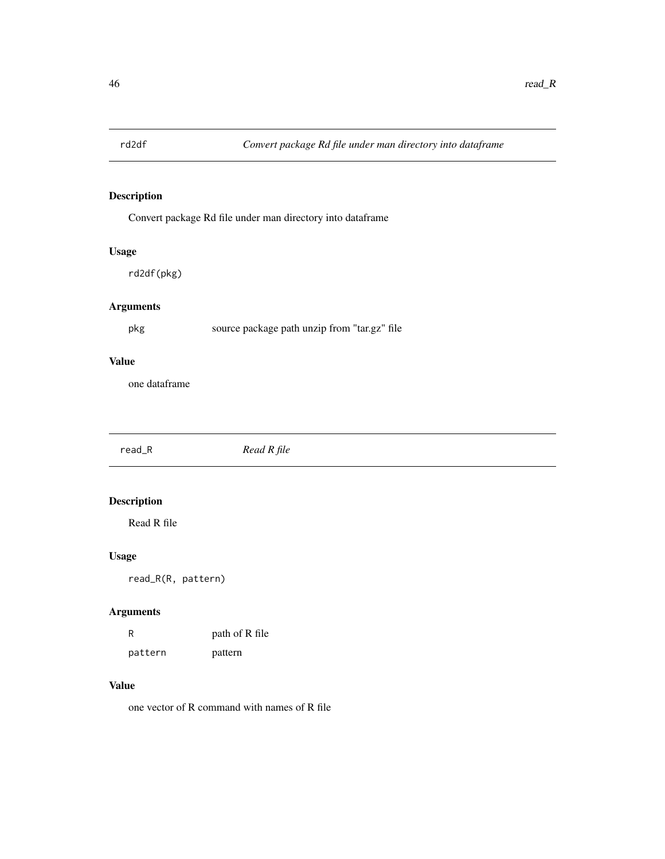<span id="page-45-0"></span>

Convert package Rd file under man directory into dataframe

## Usage

rd2df(pkg)

## Arguments

pkg source package path unzip from "tar.gz" file

## Value

one dataframe

read\_R *Read R file*

## Description

Read R file

## Usage

read\_R(R, pattern)

## Arguments

| R       | path of R file |
|---------|----------------|
| pattern | pattern        |

#### Value

one vector of R command with names of R file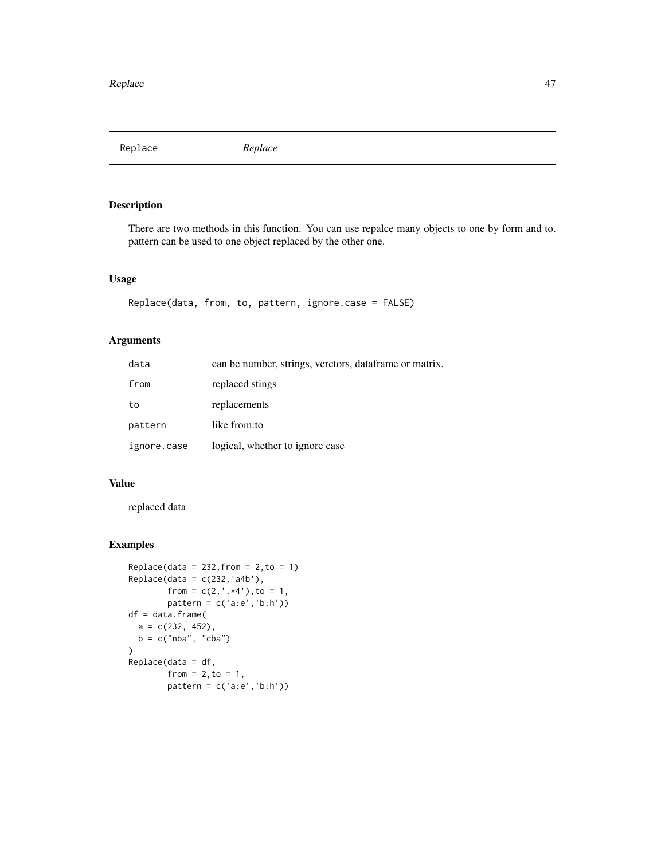<span id="page-46-0"></span>Replace *Replace*

## Description

There are two methods in this function. You can use repalce many objects to one by form and to. pattern can be used to one object replaced by the other one.

#### Usage

```
Replace(data, from, to, pattern, ignore.case = FALSE)
```
## Arguments

| data        | can be number, strings, verctors, dataframe or matrix. |
|-------------|--------------------------------------------------------|
| from        | replaced stings                                        |
| to          | replacements                                           |
| pattern     | like from:to                                           |
| ignore.case | logical, whether to ignore case                        |

#### Value

replaced data

```
Replace(data = 232, from = 2, to = 1)Replace(data = c(232,'a4b'),
        from = c(2, ', .*4''), to = 1,
        pattern = c('a:e','b:h'))
df = data.frame(
  a = c(232, 452),
  b = c("nba", "cba")\lambdaReplace(data = df,
        from = 2, to = 1,pattern = c('a:e','b:h'))
```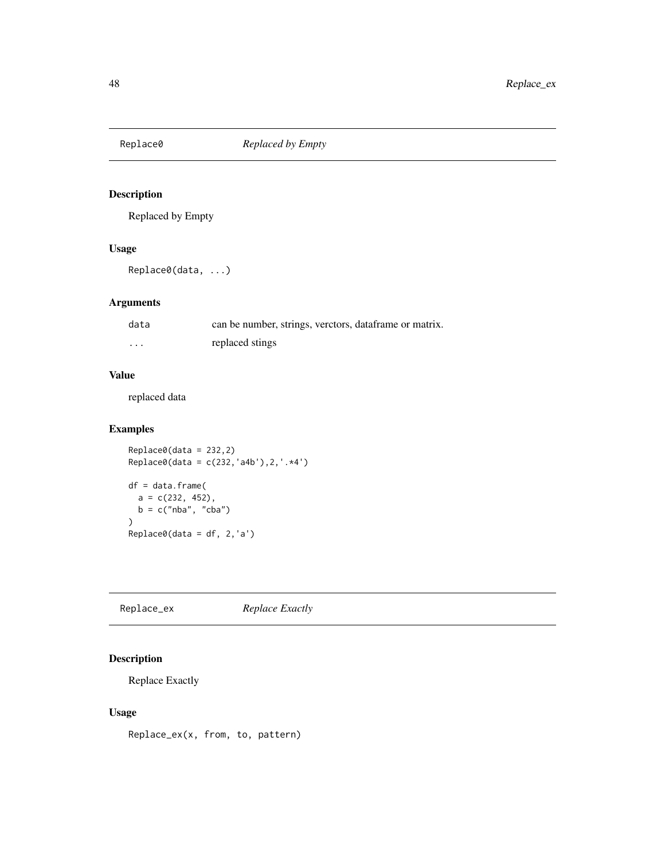<span id="page-47-0"></span>

Replaced by Empty

#### Usage

Replace0(data, ...)

## Arguments

| data     | can be number, strings, verctors, dataframe or matrix. |
|----------|--------------------------------------------------------|
| $\cdots$ | replaced stings                                        |

## Value

replaced data

## Examples

Replace0(data = 232,2) Replace0(data = c(232,'a4b'),2,'.\*4') df = data.frame(  $a = c(232, 452)$ ,  $b = c("nba", "cba")$ ) Replace0(data = df, 2,'a')

Replace\_ex *Replace Exactly*

## Description

Replace Exactly

## Usage

Replace\_ex(x, from, to, pattern)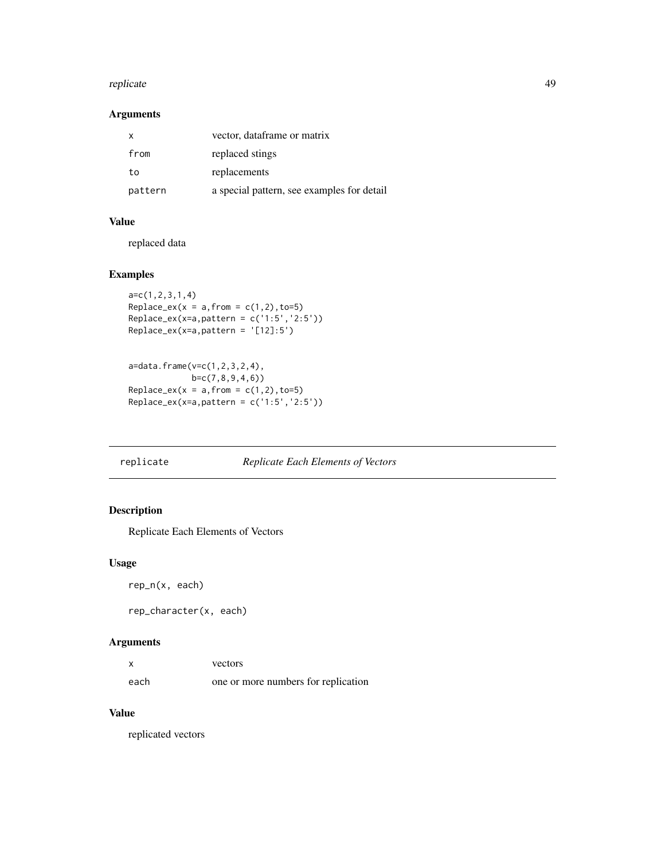#### <span id="page-48-0"></span>replicate 49

## Arguments

| $\mathbf{x}$ | vector, dataframe or matrix                |
|--------------|--------------------------------------------|
| from         | replaced stings                            |
| to           | replacements                               |
| pattern      | a special pattern, see examples for detail |

## Value

replaced data

## Examples

```
a=c(1,2,3,1,4)
Replace\_ex(x = a, from = c(1,2), to=5)Replace_ex(x=a,pattern = c('1:5','2:5'))
Replace_ex(x=a,pattern = '[12]:5')
```

```
a=data.frame(v=c(1,2,3,2,4),
            b=c(7,8,9,4,6))
Replace\_ex(x = a, from = c(1,2), to=5)Replace_ex(x=a,pattern = c('1:5','2:5'))
```
## replicate *Replicate Each Elements of Vectors*

## Description

Replicate Each Elements of Vectors

#### Usage

```
rep_n(x, each)
```
rep\_character(x, each)

## Arguments

| x    | vectors                             |
|------|-------------------------------------|
| each | one or more numbers for replication |

#### Value

replicated vectors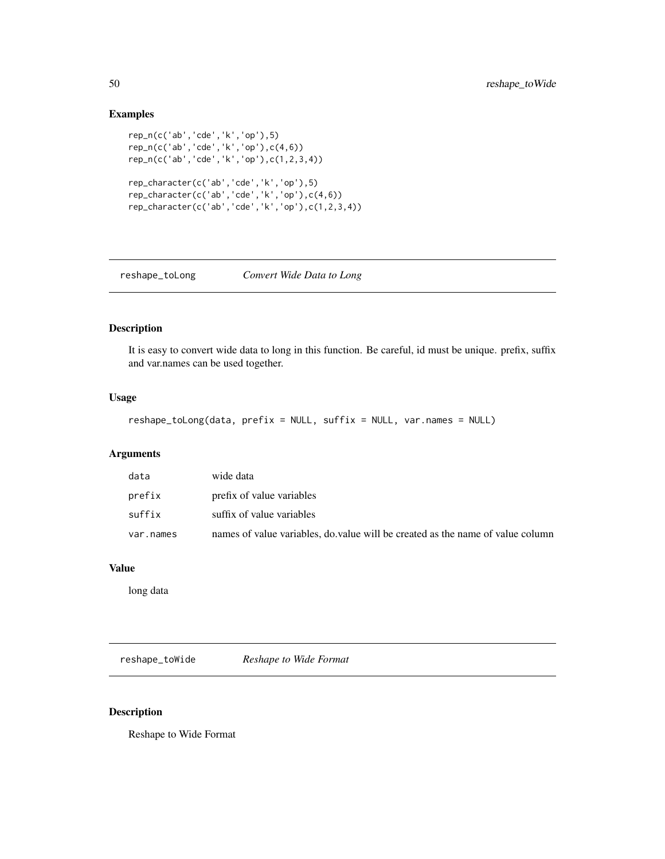## Examples

```
rep_n(c('ab','cde','k','op'),5)
rep_n(c('ab','cde','k','op'),c(4,6))
rep_n(c('ab','cde','k','op'),c(1,2,3,4))
rep_character(c('ab','cde','k','op'),5)
rep_character(c('ab','cde','k','op'),c(4,6))
rep_character(c('ab','cde','k','op'),c(1,2,3,4))
```

| reshape_toLong | Convert Wide Data to Long |  |  |  |  |
|----------------|---------------------------|--|--|--|--|
|----------------|---------------------------|--|--|--|--|

## Description

It is easy to convert wide data to long in this function. Be careful, id must be unique. prefix, suffix and var.names can be used together.

#### Usage

```
reshape_toLong(data, prefix = NULL, suffix = NULL, var.names = NULL)
```
## Arguments

| data      | wide data                                                                      |
|-----------|--------------------------------------------------------------------------------|
| prefix    | prefix of value variables                                                      |
| suffix    | suffix of value variables                                                      |
| var.names | names of value variables, do value will be created as the name of value column |

## Value

long data

reshape\_toWide *Reshape to Wide Format*

#### Description

Reshape to Wide Format

<span id="page-49-0"></span>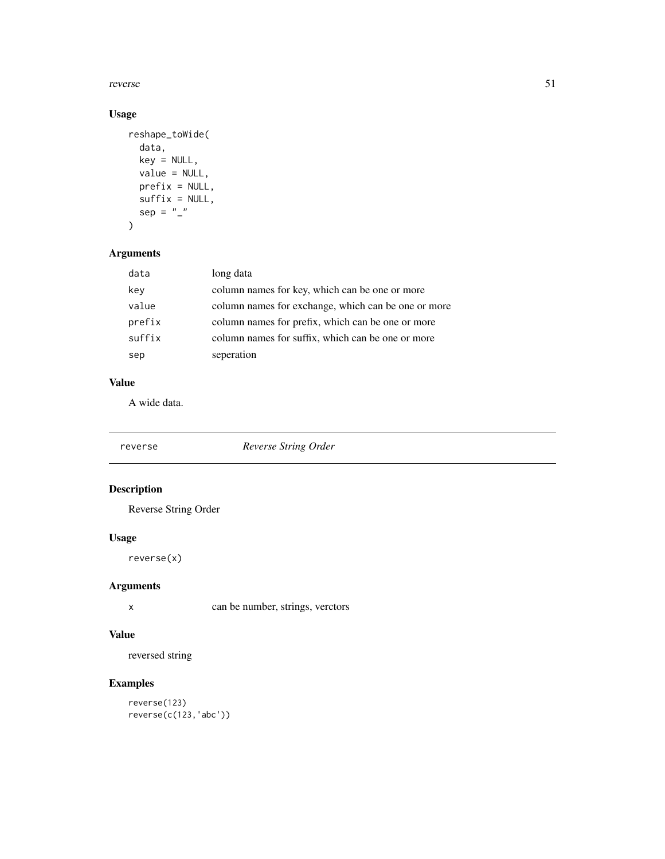<span id="page-50-0"></span>reverse 51

## Usage

```
reshape_toWide(
 data,
 key = NULL,
 value = NULL,
 prefix = NULL,
 suffix = NULL,sep = "''\mathcal{L}
```
## Arguments

| data   | long data                                           |
|--------|-----------------------------------------------------|
| key    | column names for key, which can be one or more      |
| value  | column names for exchange, which can be one or more |
| prefix | column names for prefix, which can be one or more   |
| suffix | column names for suffix, which can be one or more   |
| sep    | seperation                                          |

## Value

A wide data.

| reverse | Reverse String Order |  |
|---------|----------------------|--|
|         |                      |  |

## Description

Reverse String Order

## Usage

reverse(x)

## Arguments

x can be number, strings, verctors

## Value

reversed string

## Examples

reverse(123) reverse(c(123,'abc'))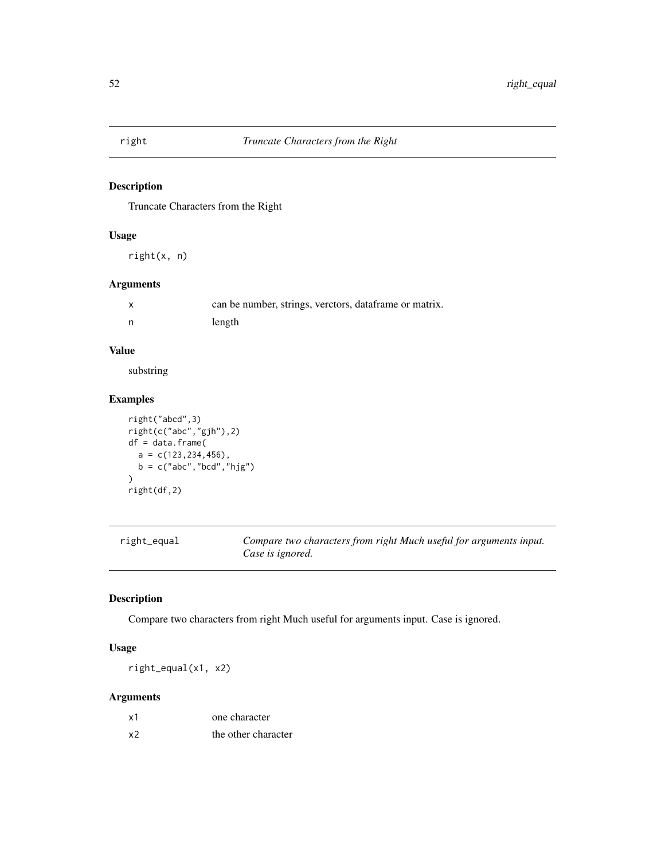<span id="page-51-0"></span>

Truncate Characters from the Right

## Usage

right(x, n)

## Arguments

| can be number, strings, verctors, dataframe or matrix. |
|--------------------------------------------------------|
| length                                                 |

## Value

substring

## Examples

```
right("abcd",3)
right(c("abc","gjh"),2)
df = data.frame(
  a = c(123, 234, 456),
  b = c("abc","bcd","hjg")
\mathcal{L}right(df,2)
```

| right_equal | Compare two characters from right Much useful for arguments input. |
|-------------|--------------------------------------------------------------------|
|             | Case is ignored.                                                   |

## Description

Compare two characters from right Much useful for arguments input. Case is ignored.

## Usage

right\_equal(x1, x2)

## Arguments

| х1 | one character       |
|----|---------------------|
| х2 | the other character |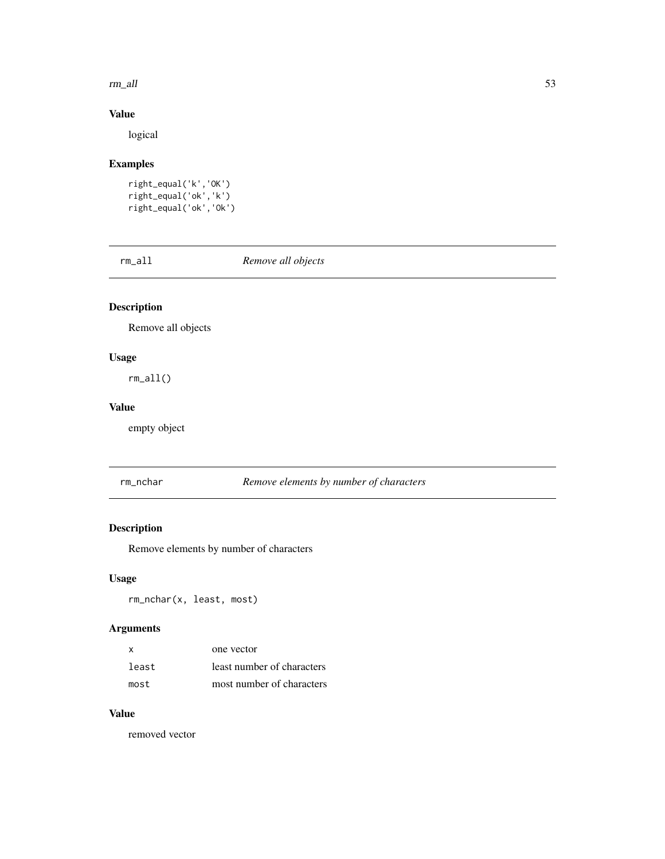#### <span id="page-52-0"></span> $rm\_all$  53

## Value

logical

## Examples

```
right_equal('k','OK')
right_equal('ok','k')
right_equal('ok','Ok')
```
rm\_all *Remove all objects*

## Description

Remove all objects

## Usage

rm\_all()

## Value

empty object

rm\_nchar *Remove elements by number of characters*

## Description

Remove elements by number of characters

## Usage

rm\_nchar(x, least, most)

## Arguments

| $\boldsymbol{\mathsf{x}}$ | one vector                 |
|---------------------------|----------------------------|
| least                     | least number of characters |
| most                      | most number of characters  |

#### Value

removed vector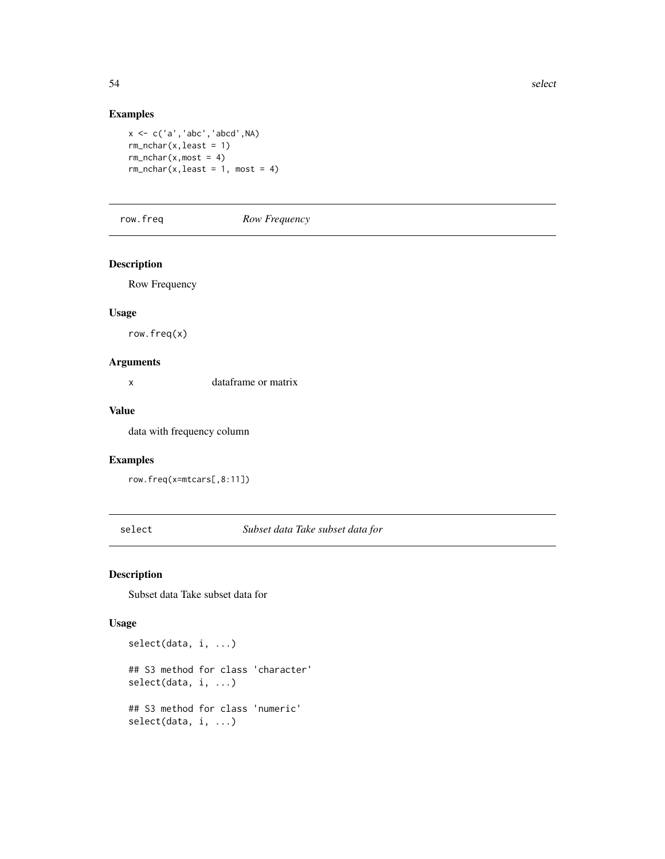## Examples

```
x \leftarrow c('a', 'abc', 'abcd', NA)rm_nchar(x,least = 1)
rm_rchar(x, most = 4)rm_nchar(x,least = 1, most = 4)
```
row.freq *Row Frequency*

#### Description

Row Frequency

#### Usage

row.freq(x)

#### Arguments

x dataframe or matrix

## Value

data with frequency column

#### Examples

```
row.freq(x=mtcars[,8:11])
```
select *Subset data Take subset data for*

#### Description

Subset data Take subset data for

## Usage

```
select(data, i, ...)
## S3 method for class 'character'
select(data, i, ...)
## S3 method for class 'numeric'
select(data, i, ...)
```
<span id="page-53-0"></span>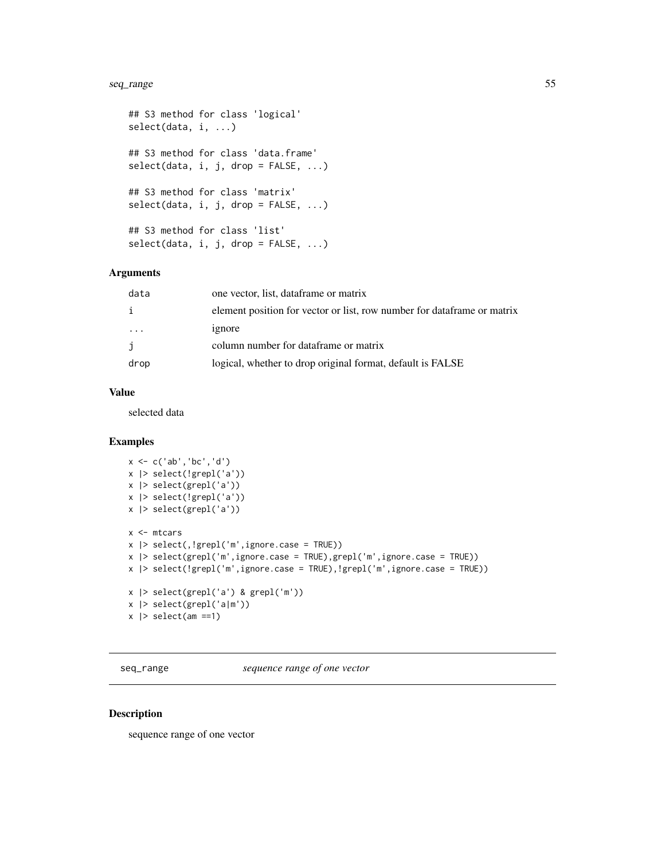#### <span id="page-54-0"></span>seq\_range 55

```
## S3 method for class 'logical'
select(data, i, ...)
## S3 method for class 'data.frame'
select(data, i, j, drop = FALSE, ...)## S3 method for class 'matrix'
select(data, i, j, drop = FALSE, ...)## S3 method for class 'list'
select(data, i, j, drop = FALSE, ...)
```
#### Arguments

| data    | one vector, list, dataframe or matrix                                   |
|---------|-------------------------------------------------------------------------|
|         | element position for vector or list, row number for dataframe or matrix |
| $\cdot$ | ignore                                                                  |
|         | column number for dataframe or matrix                                   |
| drop    | logical, whether to drop original format, default is FALSE              |

#### Value

selected data

#### Examples

```
x <- c('ab','bc','d')
x |> select(!grepl('a'))
x |> select(grepl('a'))
x |> select(!grepl('a'))
x |> select(grepl('a'))
x <- mtcars
x |> select(,!grepl('m',ignore.case = TRUE))
x |> select(grepl('m',ignore.case = TRUE),grepl('m',ignore.case = TRUE))
x |> select(!grepl('m',ignore.case = TRUE),!grepl('m',ignore.case = TRUE))
x |> select(grepl('a') & grepl('m'))
x |> select(grepl('a|m'))
x |> select(am ==1)
```
seq\_range *sequence range of one vector*

## Description

sequence range of one vector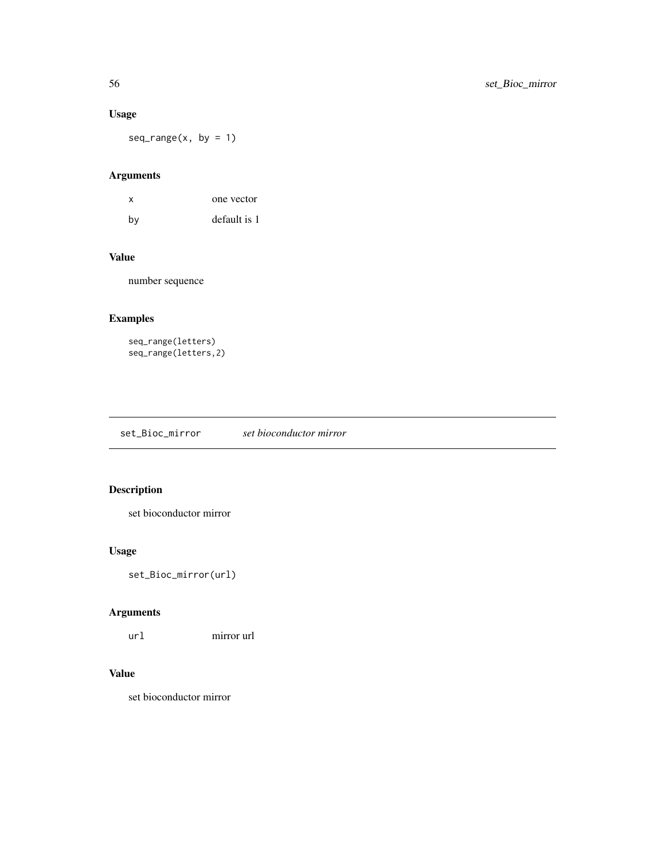## <span id="page-55-0"></span>Usage

 $seq\_range(x, by = 1)$ 

## Arguments

| x  | one vector   |
|----|--------------|
| bv | default is 1 |

## Value

number sequence

## Examples

```
seq_range(letters)
seq_range(letters,2)
```
set\_Bioc\_mirror *set bioconductor mirror*

## Description

set bioconductor mirror

## Usage

set\_Bioc\_mirror(url)

## Arguments

url mirror url

#### Value

set bioconductor mirror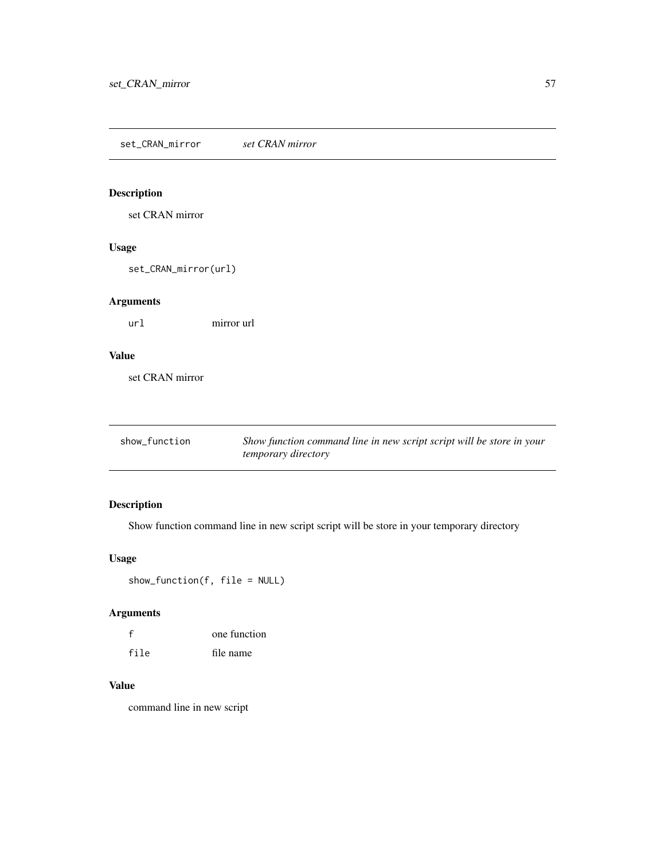<span id="page-56-0"></span>set\_CRAN\_mirror *set CRAN mirror*

## Description

set CRAN mirror

## Usage

set\_CRAN\_mirror(url)

## Arguments

url mirror url

## Value

set CRAN mirror

| show_function | Show function command line in new script script will be store in your |
|---------------|-----------------------------------------------------------------------|
|               | <i>temporary directory</i>                                            |

## Description

Show function command line in new script script will be store in your temporary directory

## Usage

show\_function(f, file = NULL)

## Arguments

| $\mathbf{f}$ | one function |
|--------------|--------------|
| file         | file name    |

#### Value

command line in new script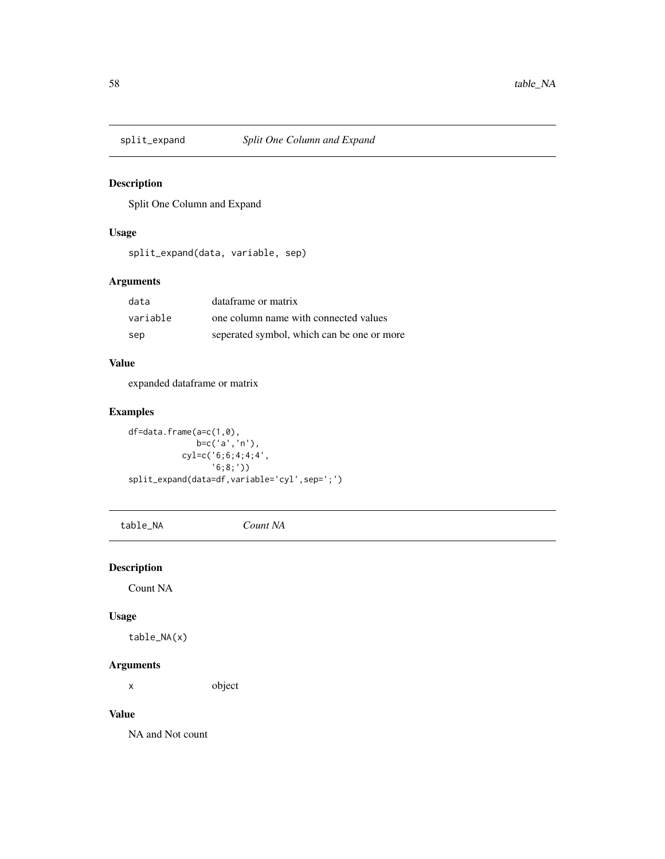<span id="page-57-0"></span>

Split One Column and Expand

## Usage

split\_expand(data, variable, sep)

## Arguments

| data     | dataframe or matrix                        |
|----------|--------------------------------------------|
| variable | one column name with connected values      |
| sep      | seperated symbol, which can be one or more |

#### Value

expanded dataframe or matrix

## Examples

df=data.frame(a=c(1,0), b=c('a','n'), cyl=c('6;6;4;4;4', '6;8;')) split\_expand(data=df,variable='cyl',sep=';')

table\_NA *Count NA*

## Description

Count NA

## Usage

table\_NA(x)

## Arguments

x object

#### Value

NA and Not count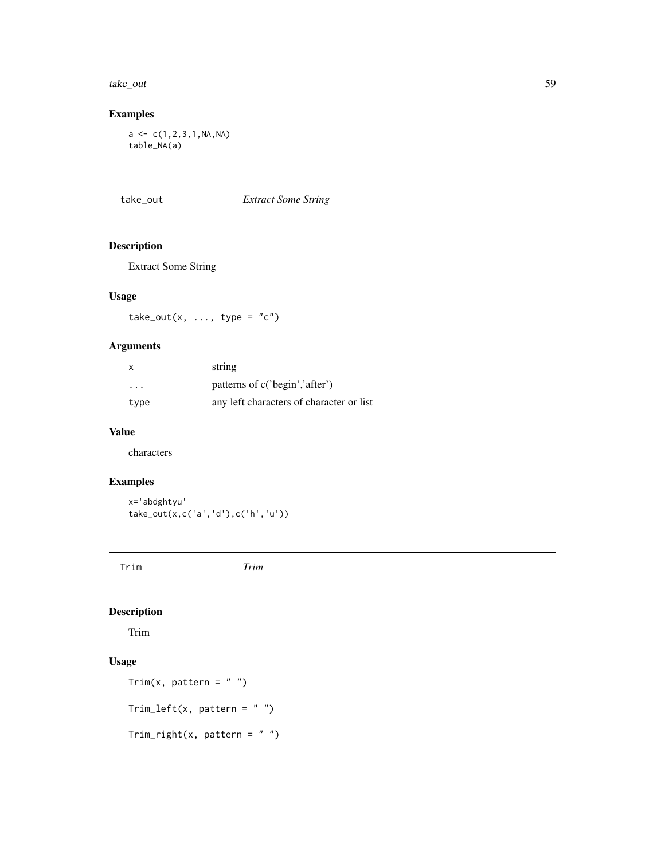#### <span id="page-58-0"></span>take\_out 59

## Examples

 $a \leftarrow c(1, 2, 3, 1, NA, NA)$ table\_NA(a)

take\_out *Extract Some String*

## Description

Extract Some String

## Usage

 $take\_out(x, ..., type = "c")$ 

## Arguments

| $\mathsf{x}$            | string                                   |
|-------------------------|------------------------------------------|
| $\cdot$ $\cdot$ $\cdot$ | patterns of c('begin','after')           |
| type                    | any left characters of character or list |

#### Value

characters

## Examples

x='abdghtyu' take\_out(x,c('a','d'),c('h','u'))

Trim *Trim*

## Description

Trim

## Usage

```
Trim(x, pattern = "")Trim\_left(x, pattern = "")Trim\_right(x, pattern = "")
```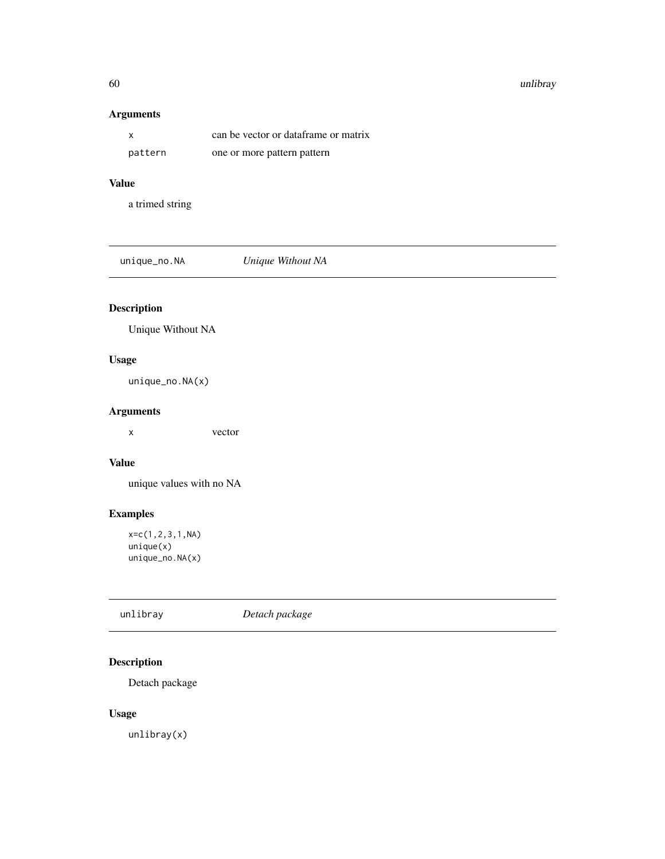#### 60 unlibray and the contract of the contract of the contract of the contract of the contract of the contract of the contract of the contract of the contract of the contract of the contract of the contract of the contract o

## Arguments

|         | can be vector or dataframe or matrix |
|---------|--------------------------------------|
| pattern | one or more pattern pattern          |

#### Value

a trimed string

unique\_no.NA *Unique Without NA*

## Description

Unique Without NA

## Usage

unique\_no.NA(x)

## Arguments

x vector

## Value

unique values with no NA

## Examples

x=c(1,2,3,1,NA)  $unique(x)$ unique\_no.NA(x)

| unlibray<br>Detach package |
|----------------------------|
|----------------------------|

## Description

Detach package

## Usage

unlibray(x)

<span id="page-59-0"></span>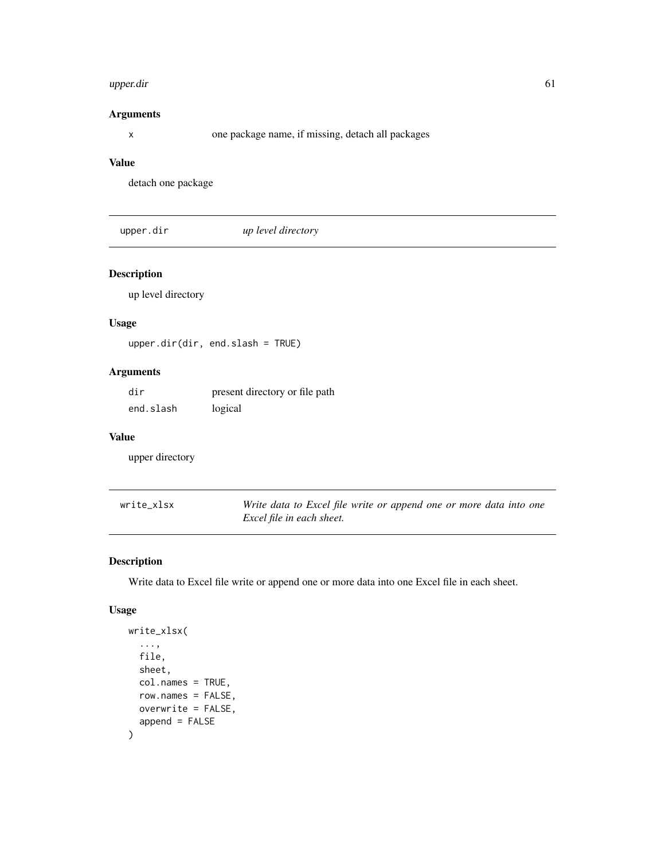#### <span id="page-60-0"></span>upper.dir 61

## Arguments

x one package name, if missing, detach all packages

## Value

detach one package

upper.dir *up level directory*

## Description

up level directory

## Usage

upper.dir(dir, end.slash = TRUE)

#### Arguments

| dir       | present directory or file path |
|-----------|--------------------------------|
| end.slash | logical                        |

#### Value

upper directory

| write xlsx | Write data to Excel file write or append one or more data into one |
|------------|--------------------------------------------------------------------|
|            | Excel file in each sheet.                                          |

## Description

Write data to Excel file write or append one or more data into one Excel file in each sheet.

## Usage

```
write_xlsx(
  ...,
  file,
  sheet,
  col.names = TRUE,
  row.names = FALSE,
  overwrite = FALSE,
  append = FALSE\mathcal{E}
```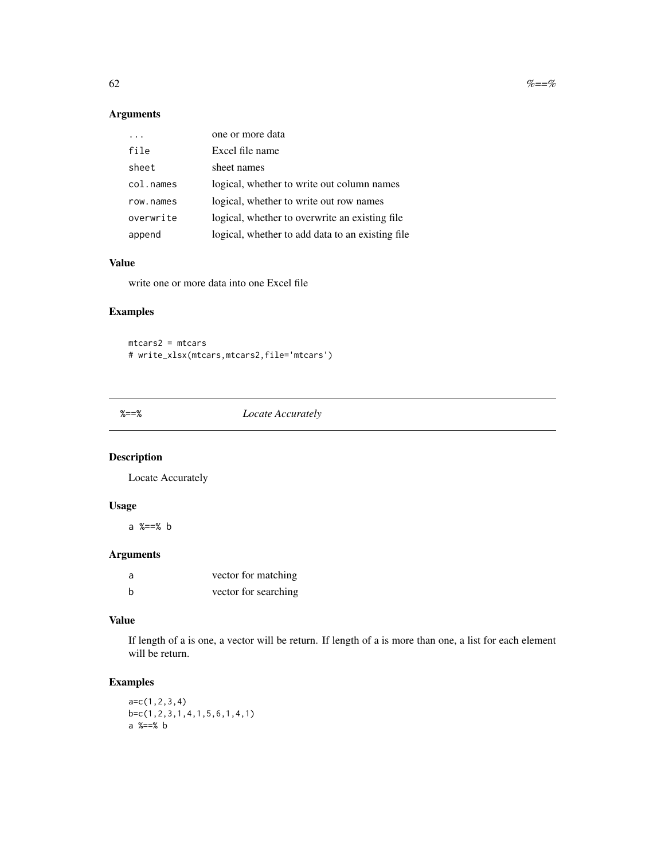<span id="page-61-0"></span>62  $\% = \%$ 

## Arguments

|           | one or more data                                 |
|-----------|--------------------------------------------------|
| file      | Excel file name                                  |
| sheet     | sheet names                                      |
| col.names | logical, whether to write out column names       |
| row.names | logical, whether to write out row names          |
| overwrite | logical, whether to overwrite an existing file   |
| append    | logical, whether to add data to an existing file |

## Value

write one or more data into one Excel file

## Examples

mtcars2 = mtcars # write\_xlsx(mtcars,mtcars2,file='mtcars')

%==% *Locate Accurately*

## Description

Locate Accurately

## Usage

a %==% b

## Arguments

| a | vector for matching  |
|---|----------------------|
| b | vector for searching |

## Value

If length of a is one, a vector will be return. If length of a is more than one, a list for each element will be return.

## Examples

a=c(1,2,3,4) b=c(1,2,3,1,4,1,5,6,1,4,1) a %==% b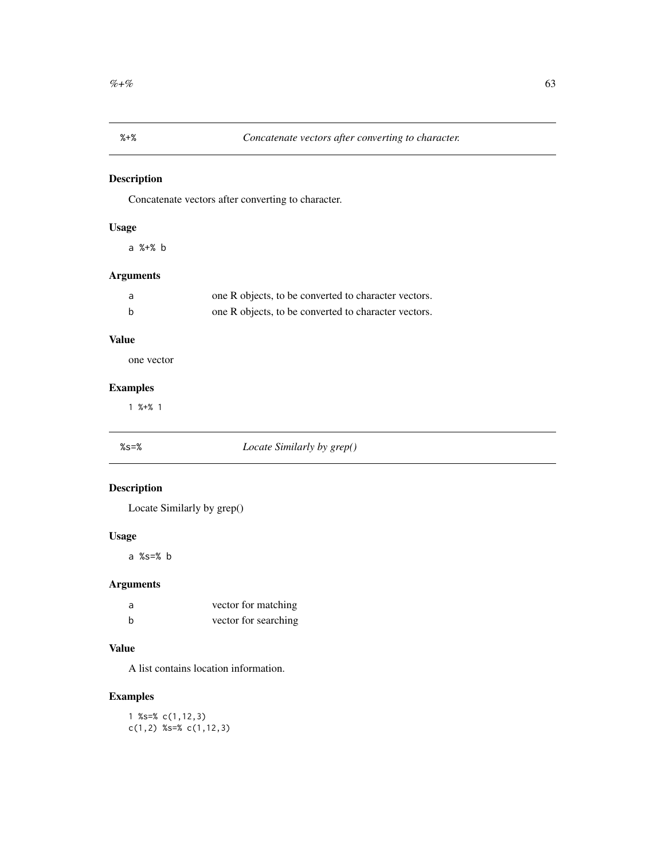<span id="page-62-0"></span>Concatenate vectors after converting to character.

## Usage

a %+% b

## Arguments

| a | one R objects, to be converted to character vectors. |
|---|------------------------------------------------------|
| b | one R objects, to be converted to character vectors. |

## Value

one vector

## Examples

1 %+% 1

## %s=% *Locate Similarly by grep()*

## Description

Locate Similarly by grep()

## Usage

a %s=% b

## Arguments

| a | vector for matching  |
|---|----------------------|
| h | vector for searching |

## Value

A list contains location information.

## Examples

1 %s=% c(1,12,3) c(1,2) %s=% c(1,12,3)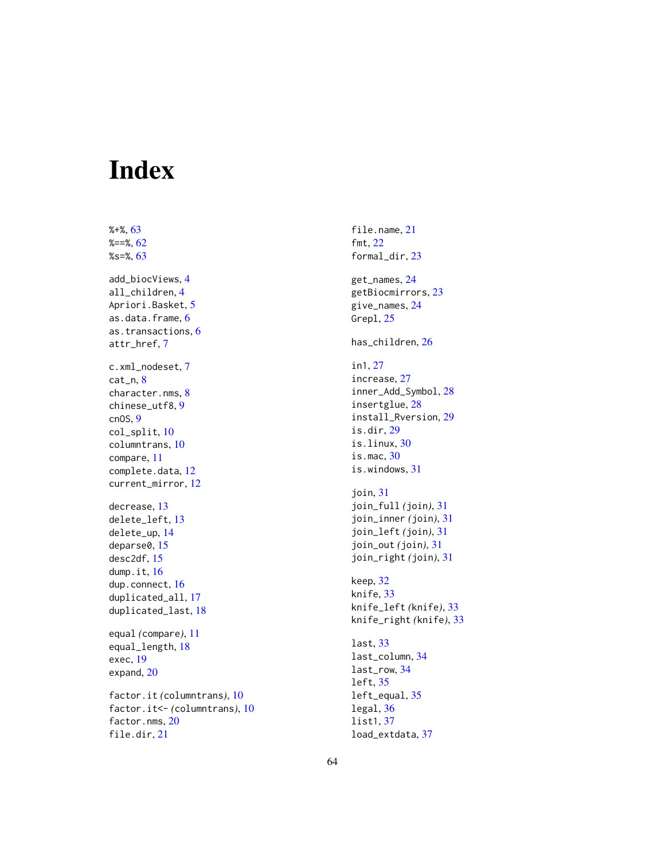# <span id="page-63-0"></span>Index

%+%, [63](#page-62-0)  $%==\%, 62$  $%==\%, 62$ %s=%, [63](#page-62-0) add\_biocViews, [4](#page-3-0) all\_children, [4](#page-3-0) Apriori.Basket, [5](#page-4-0) as.data.frame, [6](#page-5-0) as.transactions, [6](#page-5-0) attr\_href, [7](#page-6-0) c.xml\_nodeset, [7](#page-6-0) cat\_n, [8](#page-7-0) character.nms, [8](#page-7-0) chinese\_utf8, [9](#page-8-0) cnOS, [9](#page-8-0) col\_split, [10](#page-9-0) columntrans, [10](#page-9-0) compare, [11](#page-10-0) complete.data, [12](#page-11-0) current\_mirror, [12](#page-11-0) decrease, [13](#page-12-0) delete\_left, [13](#page-12-0) delete\_up, [14](#page-13-0) deparse0, [15](#page-14-0) desc2df, [15](#page-14-0) dump.it, [16](#page-15-0) dup.connect, [16](#page-15-0) duplicated\_all, [17](#page-16-0) duplicated\_last, [18](#page-17-0) equal *(*compare*)*, [11](#page-10-0) equal\_length, [18](#page-17-0) exec, [19](#page-18-0) expand, [20](#page-19-0) factor.it *(*columntrans*)*, [10](#page-9-0) factor.it<- *(*columntrans*)*, [10](#page-9-0) factor.nms, [20](#page-19-0) file.dir, [21](#page-20-0)

file.name, [21](#page-20-0) fmt, [22](#page-21-0) formal\_dir, [23](#page-22-0) get\_names, [24](#page-23-0) getBiocmirrors, [23](#page-22-0) give\_names, [24](#page-23-0) Grepl, [25](#page-24-0) has\_children, [26](#page-25-0) in1, [27](#page-26-0) increase, [27](#page-26-0) inner\_Add\_Symbol, [28](#page-27-0) insertglue, [28](#page-27-0) install\_Rversion, [29](#page-28-0) is.dir, [29](#page-28-0) is.linux, [30](#page-29-0) is.mac, [30](#page-29-0) is.windows, [31](#page-30-0) join, [31](#page-30-0) join\_full *(*join*)*, [31](#page-30-0) join\_inner *(*join*)*, [31](#page-30-0) join\_left *(*join*)*, [31](#page-30-0) join\_out *(*join*)*, [31](#page-30-0) join\_right *(*join*)*, [31](#page-30-0) keep, [32](#page-31-0) knife, [33](#page-32-0) knife\_left *(*knife*)*, [33](#page-32-0) knife\_right *(*knife*)*, [33](#page-32-0) last, [33](#page-32-0) last\_column, [34](#page-33-0) last\_row, [34](#page-33-0) left, [35](#page-34-0) left\_equal, [35](#page-34-0) legal, [36](#page-35-0) list1, [37](#page-36-0) load\_extdata, [37](#page-36-0)